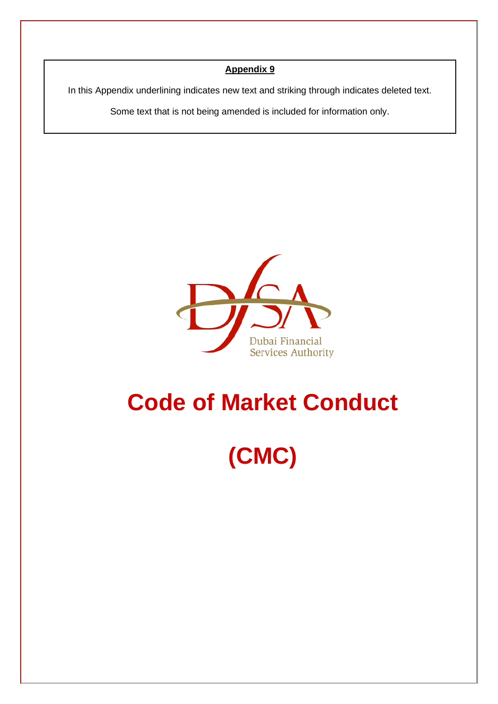# **Appendix 9**

In this Appendix underlining indicates new text and striking through indicates deleted text.

Some text that is not being amended is included for information only.



# **Code of Market Conduct**

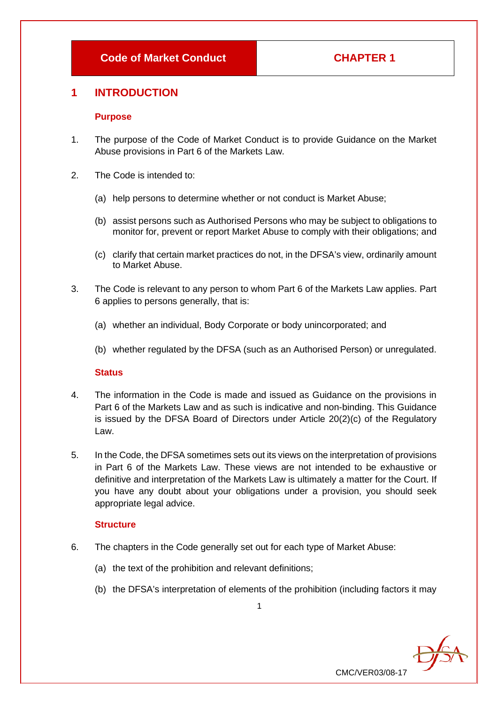# **1 INTRODUCTION**

#### **Purpose**

- 1. The purpose of the Code of Market Conduct is to provide Guidance on the Market Abuse provisions in Part 6 of the Markets Law.
- 2. The Code is intended to:
	- (a) help persons to determine whether or not conduct is Market Abuse;
	- (b) assist persons such as Authorised Persons who may be subject to obligations to monitor for, prevent or report Market Abuse to comply with their obligations; and
	- (c) clarify that certain market practices do not, in the DFSA's view, ordinarily amount to Market Abuse.
- 3. The Code is relevant to any person to whom Part 6 of the Markets Law applies. Part 6 applies to persons generally, that is:
	- (a) whether an individual, Body Corporate or body unincorporated; and
	- (b) whether regulated by the DFSA (such as an Authorised Person) or unregulated.

# **Status**

- 4. The information in the Code is made and issued as Guidance on the provisions in Part 6 of the Markets Law and as such is indicative and non-binding. This Guidance is issued by the DFSA Board of Directors under Article 20(2)(c) of the Regulatory Law.
- 5. In the Code, the DFSA sometimes sets out its views on the interpretation of provisions in Part 6 of the Markets Law. These views are not intended to be exhaustive or definitive and interpretation of the Markets Law is ultimately a matter for the Court. If you have any doubt about your obligations under a provision, you should seek appropriate legal advice.

# **Structure**

- 6. The chapters in the Code generally set out for each type of Market Abuse:
	- (a) the text of the prohibition and relevant definitions;
	- (b) the DFSA's interpretation of elements of the prohibition (including factors it may

 $\frac{1}{\sqrt{2}}$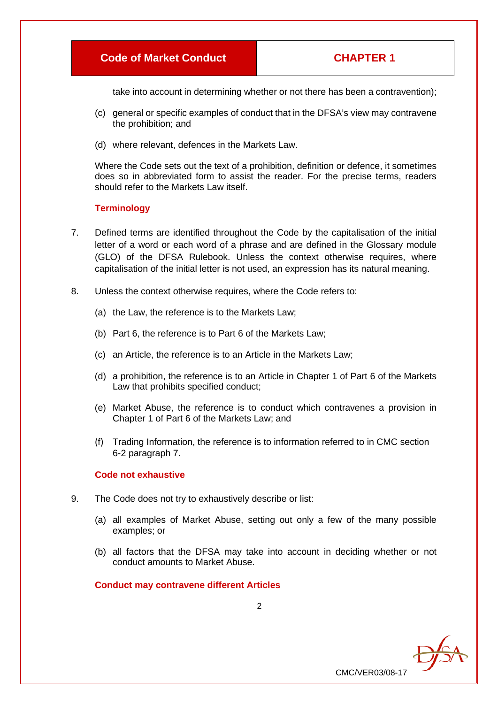take into account in determining whether or not there has been a contravention);

- (c) general or specific examples of conduct that in the DFSA's view may contravene the prohibition; and
- (d) where relevant, defences in the Markets Law.

Where the Code sets out the text of a prohibition, definition or defence, it sometimes does so in abbreviated form to assist the reader. For the precise terms, readers should refer to the Markets Law itself.

# **Terminology**

- 7. Defined terms are identified throughout the Code by the capitalisation of the initial letter of a word or each word of a phrase and are defined in the Glossary module (GLO) of the DFSA Rulebook. Unless the context otherwise requires, where capitalisation of the initial letter is not used, an expression has its natural meaning.
- 8. Unless the context otherwise requires, where the Code refers to:
	- (a) the Law, the reference is to the Markets Law;
	- (b) Part 6, the reference is to Part 6 of the Markets Law;
	- (c) an Article, the reference is to an Article in the Markets Law;
	- (d) a prohibition, the reference is to an Article in Chapter 1 of Part 6 of the Markets Law that prohibits specified conduct;
	- (e) Market Abuse, the reference is to conduct which contravenes a provision in Chapter 1 of Part 6 of the Markets Law; and
	- (f) Trading Information, the reference is to information referred to in CMC section 6-2 paragraph 7.

# **Code not exhaustive**

- 9. The Code does not try to exhaustively describe or list:
	- (a) all examples of Market Abuse, setting out only a few of the many possible examples; or
	- (b) all factors that the DFSA may take into account in deciding whether or not conduct amounts to Market Abuse.

#### **Conduct may contravene different Articles**

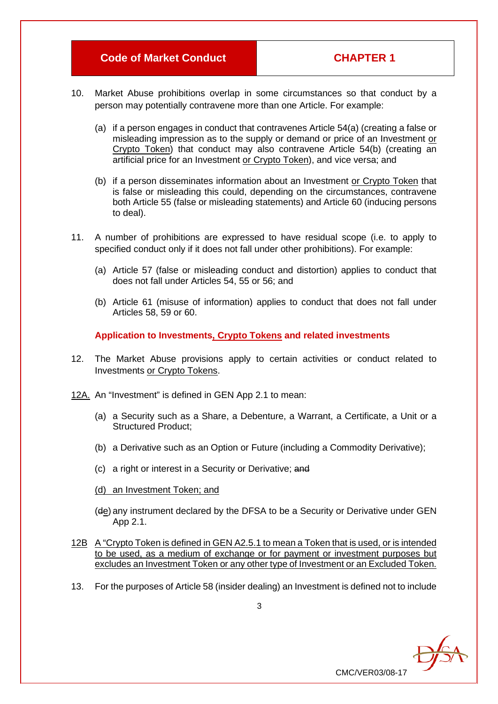- 10. Market Abuse prohibitions overlap in some circumstances so that conduct by a person may potentially contravene more than one Article. For example:
	- (a) if a person engages in conduct that contravenes Article 54(a) (creating a false or misleading impression as to the supply or demand or price of an Investment or Crypto Token) that conduct may also contravene Article 54(b) (creating an artificial price for an Investment or Crypto Token), and vice versa; and
	- (b) if a person disseminates information about an Investment or Crypto Token that is false or misleading this could, depending on the circumstances, contravene both Article 55 (false or misleading statements) and Article 60 (inducing persons to deal).
- 11. A number of prohibitions are expressed to have residual scope (i.e. to apply to specified conduct only if it does not fall under other prohibitions). For example:
	- (a) Article 57 (false or misleading conduct and distortion) applies to conduct that does not fall under Articles 54, 55 or 56; and
	- (b) Article 61 (misuse of information) applies to conduct that does not fall under Articles 58, 59 or 60.

**Application to Investments, Crypto Tokens and related investments**

- 12. The Market Abuse provisions apply to certain activities or conduct related to Investments or Crypto Tokens.
- 12A. An "Investment" is defined in GEN App 2.1 to mean:
	- (a) a Security such as a Share, a Debenture, a Warrant, a Certificate, a Unit or a Structured Product;
	- (b) a Derivative such as an Option or Future (including a Commodity Derivative);
	- (c) a right or interest in a Security or Derivative; and
	- (d) an Investment Token; and
	- (de) any instrument declared by the DFSA to be a Security or Derivative under GEN App 2.1.
- 12B A "Crypto Token is defined in GEN A2.5.1 to mean a Token that is used, or is intended to be used, as a medium of exchange or for payment or investment purposes but excludes an Investment Token or any other type of Investment or an Excluded Token.
- 13. For the purposes of Article 58 (insider dealing) an Investment is defined not to include

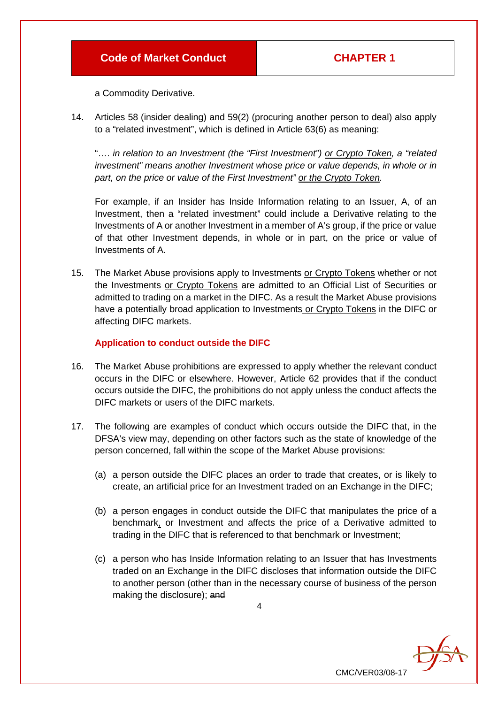a Commodity Derivative.

14. Articles 58 (insider dealing) and 59(2) (procuring another person to deal) also apply to a "related investment", which is defined in Article 63(6) as meaning:

"…. *in relation to an Investment (the "First Investment") or Crypto Token, a "related investment" means another Investment whose price or value depends, in whole or in part, on the price or value of the First Investment" or the Crypto Token.*

For example, if an Insider has Inside Information relating to an Issuer, A, of an Investment, then a "related investment" could include a Derivative relating to the Investments of A or another Investment in a member of A's group, if the price or value of that other Investment depends, in whole or in part, on the price or value of Investments of A.

15. The Market Abuse provisions apply to Investments or Crypto Tokens whether or not the Investments or Crypto Tokens are admitted to an Official List of Securities or admitted to trading on a market in the DIFC. As a result the Market Abuse provisions have a potentially broad application to Investments or Crypto Tokens in the DIFC or affecting DIFC markets.

# **Application to conduct outside the DIFC**

- 16. The Market Abuse prohibitions are expressed to apply whether the relevant conduct occurs in the DIFC or elsewhere. However, Article 62 provides that if the conduct occurs outside the DIFC, the prohibitions do not apply unless the conduct affects the DIFC markets or users of the DIFC markets.
- 17. The following are examples of conduct which occurs outside the DIFC that, in the DFSA's view may, depending on other factors such as the state of knowledge of the person concerned, fall within the scope of the Market Abuse provisions:
	- (a) a person outside the DIFC places an order to trade that creates, or is likely to create, an artificial price for an Investment traded on an Exchange in the DIFC;
	- (b) a person engages in conduct outside the DIFC that manipulates the price of a benchmark,  $\theta$ -Investment and affects the price of a Derivative admitted to trading in the DIFC that is referenced to that benchmark or Investment;
	- (c) a person who has Inside Information relating to an Issuer that has Investments traded on an Exchange in the DIFC discloses that information outside the DIFC to another person (other than in the necessary course of business of the person making the disclosure); and

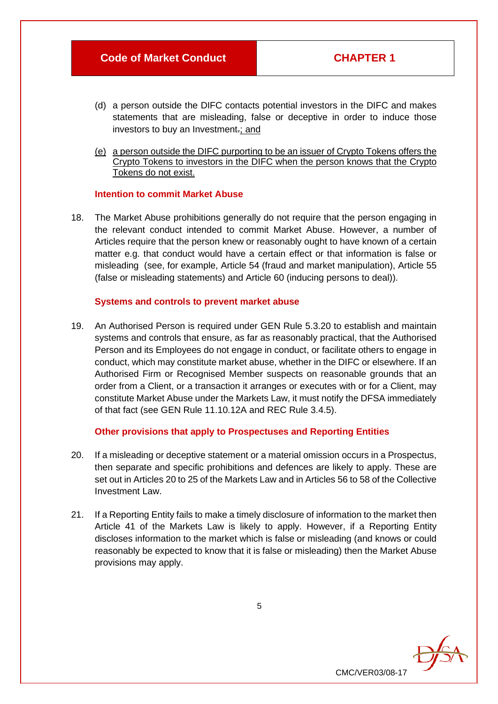- (d) a person outside the DIFC contacts potential investors in the DIFC and makes statements that are misleading, false or deceptive in order to induce those investors to buy an Investment.; and
- (e) a person outside the DIFC purporting to be an issuer of Crypto Tokens offers the Crypto Tokens to investors in the DIFC when the person knows that the Crypto Tokens do not exist.

#### **Intention to commit Market Abuse**

18. The Market Abuse prohibitions generally do not require that the person engaging in the relevant conduct intended to commit Market Abuse. However, a number of Articles require that the person knew or reasonably ought to have known of a certain matter e.g. that conduct would have a certain effect or that information is false or misleading (see, for example, Article 54 (fraud and market manipulation), Article 55 (false or misleading statements) and Article 60 (inducing persons to deal)).

# **Systems and controls to prevent market abuse**

19. An Authorised Person is required under GEN Rule 5.3.20 to establish and maintain systems and controls that ensure, as far as reasonably practical, that the Authorised Person and its Employees do not engage in conduct, or facilitate others to engage in conduct, which may constitute market abuse, whether in the DIFC or elsewhere. If an Authorised Firm or Recognised Member suspects on reasonable grounds that an order from a Client, or a transaction it arranges or executes with or for a Client, may constitute Market Abuse under the Markets Law, it must notify the DFSA immediately of that fact (see GEN Rule 11.10.12A and REC Rule 3.4.5).

# **Other provisions that apply to Prospectuses and Reporting Entities**

- 20. If a misleading or deceptive statement or a material omission occurs in a Prospectus, then separate and specific prohibitions and defences are likely to apply. These are set out in Articles 20 to 25 of the Markets Law and in Articles 56 to 58 of the Collective Investment Law.
- 21. If a Reporting Entity fails to make a timely disclosure of information to the market then Article 41 of the Markets Law is likely to apply. However, if a Reporting Entity discloses information to the market which is false or misleading (and knows or could reasonably be expected to know that it is false or misleading) then the Market Abuse provisions may apply.



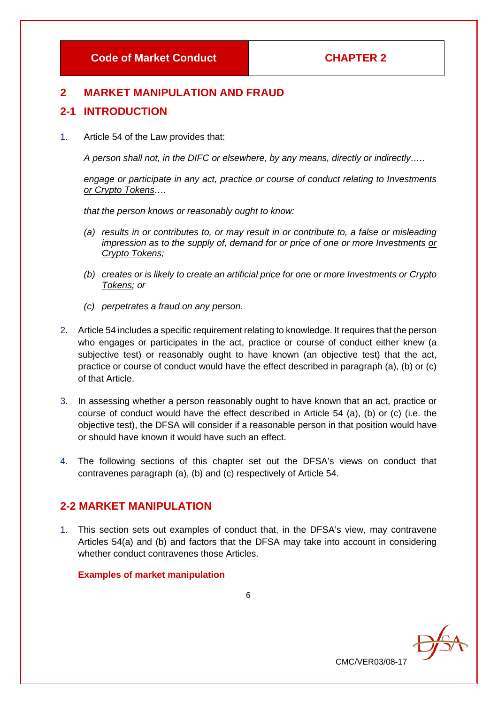# **2 MARKET MANIPULATION AND FRAUD**

# **2-1 INTRODUCTION**

1. Article 54 of the Law provides that:

*A person shall not, in the DIFC or elsewhere, by any means, directly or indirectly…..*

*engage or participate in any act, practice or course of conduct relating to Investments or Crypto Tokens….*

*that the person knows or reasonably ought to know:*

- *(a) results in or contributes to, or may result in or contribute to, a false or misleading impression as to the supply of, demand for or price of one or more Investments or Crypto Tokens;*
- *(b) creates or is likely to create an artificial price for one or more Investments or Crypto Tokens; or*
- *(c) perpetrates a fraud on any person.*
- 2. Article 54 includes a specific requirement relating to knowledge. It requires that the person who engages or participates in the act, practice or course of conduct either knew (a subjective test) or reasonably ought to have known (an objective test) that the act, practice or course of conduct would have the effect described in paragraph (a), (b) or (c) of that Article.
- 3. In assessing whether a person reasonably ought to have known that an act, practice or course of conduct would have the effect described in Article 54 (a), (b) or (c) (i.e. the objective test), the DFSA will consider if a reasonable person in that position would have or should have known it would have such an effect.
- 4. The following sections of this chapter set out the DFSA's views on conduct that contravenes paragraph (a), (b) and (c) respectively of Article 54.

# **2-2 MARKET MANIPULATION**

1. This section sets out examples of conduct that, in the DFSA's view, may contravene Articles 54(a) and (b) and factors that the DFSA may take into account in considering whether conduct contravenes those Articles.

# **Examples of market manipulation**

6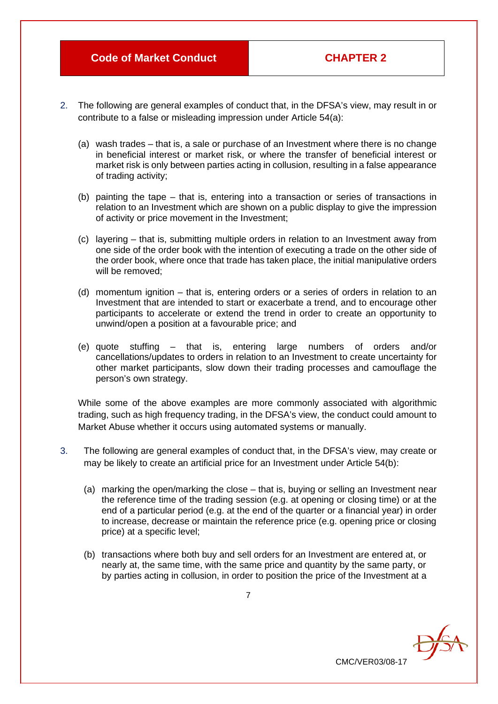- 2. The following are general examples of conduct that, in the DFSA's view, may result in or contribute to a false or misleading impression under Article 54(a):
	- (a) wash trades that is, a sale or purchase of an Investment where there is no change in beneficial interest or market risk, or where the transfer of beneficial interest or market risk is only between parties acting in collusion, resulting in a false appearance of trading activity;
	- (b) painting the tape that is, entering into a transaction or series of transactions in relation to an Investment which are shown on a public display to give the impression of activity or price movement in the Investment;
	- (c) layering that is, submitting multiple orders in relation to an Investment away from one side of the order book with the intention of executing a trade on the other side of the order book, where once that trade has taken place, the initial manipulative orders will be removed:
	- (d) momentum ignition that is, entering orders or a series of orders in relation to an Investment that are intended to start or exacerbate a trend, and to encourage other participants to accelerate or extend the trend in order to create an opportunity to unwind/open a position at a favourable price; and
	- (e) quote stuffing that is, entering large numbers of orders and/or cancellations/updates to orders in relation to an Investment to create uncertainty for other market participants, slow down their trading processes and camouflage the person's own strategy.

While some of the above examples are more commonly associated with algorithmic trading, such as high frequency trading, in the DFSA's view, the conduct could amount to Market Abuse whether it occurs using automated systems or manually.

- 3. The following are general examples of conduct that, in the DFSA's view, may create or may be likely to create an artificial price for an Investment under Article 54(b):
	- (a) marking the open/marking the close that is, buying or selling an Investment near the reference time of the trading session (e.g. at opening or closing time) or at the end of a particular period (e.g. at the end of the quarter or a financial year) in order to increase, decrease or maintain the reference price (e.g. opening price or closing price) at a specific level;
	- (b) transactions where both buy and sell orders for an Investment are entered at, or nearly at, the same time, with the same price and quantity by the same party, or by parties acting in collusion, in order to position the price of the Investment at a

CMC/VER03/08-17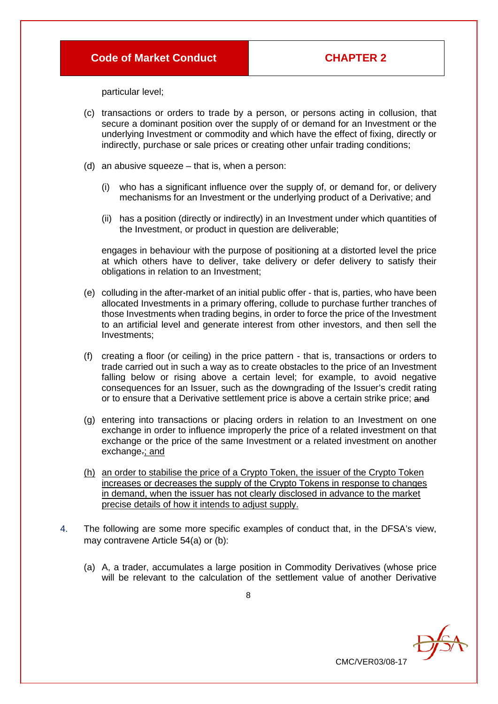particular level;

- (c) transactions or orders to trade by a person, or persons acting in collusion, that secure a dominant position over the supply of or demand for an Investment or the underlying Investment or commodity and which have the effect of fixing, directly or indirectly, purchase or sale prices or creating other unfair trading conditions;
- (d) an abusive squeeze that is, when a person:
	- (i) who has a significant influence over the supply of, or demand for, or delivery mechanisms for an Investment or the underlying product of a Derivative; and
	- (ii) has a position (directly or indirectly) in an Investment under which quantities of the Investment, or product in question are deliverable;

engages in behaviour with the purpose of positioning at a distorted level the price at which others have to deliver, take delivery or defer delivery to satisfy their obligations in relation to an Investment;

- (e) colluding in the after-market of an initial public offer that is, parties, who have been allocated Investments in a primary offering, collude to purchase further tranches of those Investments when trading begins, in order to force the price of the Investment to an artificial level and generate interest from other investors, and then sell the Investments;
- (f) creating a floor (or ceiling) in the price pattern that is, transactions or orders to trade carried out in such a way as to create obstacles to the price of an Investment falling below or rising above a certain level; for example, to avoid negative consequences for an Issuer, such as the downgrading of the Issuer's credit rating or to ensure that a Derivative settlement price is above a certain strike price; and
- (g) entering into transactions or placing orders in relation to an Investment on one exchange in order to influence improperly the price of a related investment on that exchange or the price of the same Investment or a related investment on another exchange.; and
- (h) an order to stabilise the price of a Crypto Token, the issuer of the Crypto Token increases or decreases the supply of the Crypto Tokens in response to changes in demand, when the issuer has not clearly disclosed in advance to the market precise details of how it intends to adjust supply.
- 4. The following are some more specific examples of conduct that, in the DFSA's view, may contravene Article 54(a) or (b):
	- (a) A, a trader, accumulates a large position in Commodity Derivatives (whose price will be relevant to the calculation of the settlement value of another Derivative

CMC/VER03/08-17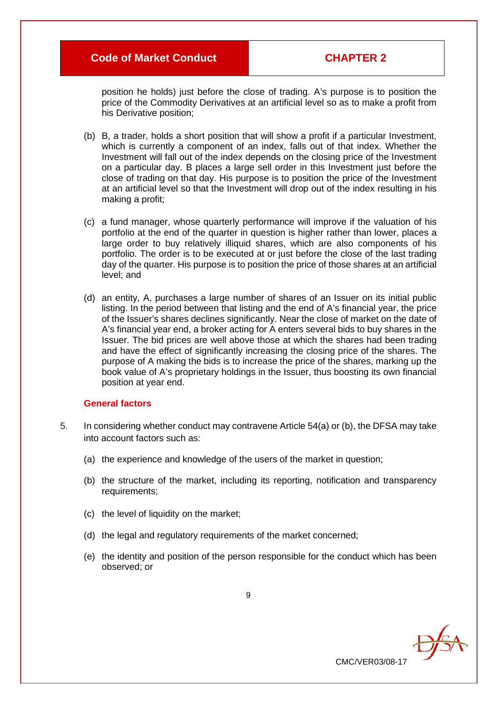position he holds) just before the close of trading. A's purpose is to position the price of the Commodity Derivatives at an artificial level so as to make a profit from his Derivative position;

- (b) B, a trader, holds a short position that will show a profit if a particular Investment, which is currently a component of an index, falls out of that index. Whether the Investment will fall out of the index depends on the closing price of the Investment on a particular day. B places a large sell order in this Investment just before the close of trading on that day. His purpose is to position the price of the Investment at an artificial level so that the Investment will drop out of the index resulting in his making a profit;
- (c) a fund manager, whose quarterly performance will improve if the valuation of his portfolio at the end of the quarter in question is higher rather than lower, places a large order to buy relatively illiquid shares, which are also components of his portfolio. The order is to be executed at or just before the close of the last trading day of the quarter. His purpose is to position the price of those shares at an artificial level; and
- (d) an entity, A, purchases a large number of shares of an Issuer on its initial public listing. In the period between that listing and the end of A's financial year, the price of the Issuer's shares declines significantly. Near the close of market on the date of A's financial year end, a broker acting for A enters several bids to buy shares in the Issuer. The bid prices are well above those at which the shares had been trading and have the effect of significantly increasing the closing price of the shares. The purpose of A making the bids is to increase the price of the shares, marking up the book value of A's proprietary holdings in the Issuer, thus boosting its own financial position at year end.

#### **General factors**

- 5. In considering whether conduct may contravene Article 54(a) or (b), the DFSA may take into account factors such as:
	- (a) the experience and knowledge of the users of the market in question;
	- (b) the structure of the market, including its reporting, notification and transparency requirements;
	- (c) the level of liquidity on the market;
	- (d) the legal and regulatory requirements of the market concerned;
	- (e) the identity and position of the person responsible for the conduct which has been observed; or

CMC/VER03/08-17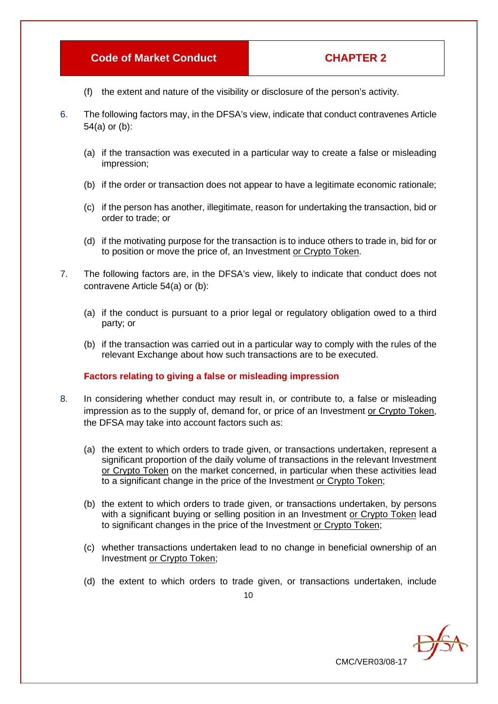- (f) the extent and nature of the visibility or disclosure of the person's activity.
- 6. The following factors may, in the DFSA's view, indicate that conduct contravenes Article 54(a) or (b):
	- (a) if the transaction was executed in a particular way to create a false or misleading impression;
	- (b) if the order or transaction does not appear to have a legitimate economic rationale;
	- (c) if the person has another, illegitimate, reason for undertaking the transaction, bid or order to trade; or
	- (d) if the motivating purpose for the transaction is to induce others to trade in, bid for or to position or move the price of, an Investment or Crypto Token.
- 7. The following factors are, in the DFSA's view, likely to indicate that conduct does not contravene Article 54(a) or (b):
	- (a) if the conduct is pursuant to a prior legal or regulatory obligation owed to a third party; or
	- (b) if the transaction was carried out in a particular way to comply with the rules of the relevant Exchange about how such transactions are to be executed.

# **Factors relating to giving a false or misleading impression**

- 8. In considering whether conduct may result in, or contribute to, a false or misleading impression as to the supply of, demand for, or price of an Investment or Crypto Token, the DFSA may take into account factors such as:
	- (a) the extent to which orders to trade given, or transactions undertaken, represent a significant proportion of the daily volume of transactions in the relevant Investment or Crypto Token on the market concerned, in particular when these activities lead to a significant change in the price of the Investment or Crypto Token;
	- (b) the extent to which orders to trade given, or transactions undertaken, by persons with a significant buying or selling position in an Investment or Crypto Token lead to significant changes in the price of the Investment or Crypto Token;
	- (c) whether transactions undertaken lead to no change in beneficial ownership of an Investment or Crypto Token;
	- (d) the extent to which orders to trade given, or transactions undertaken, include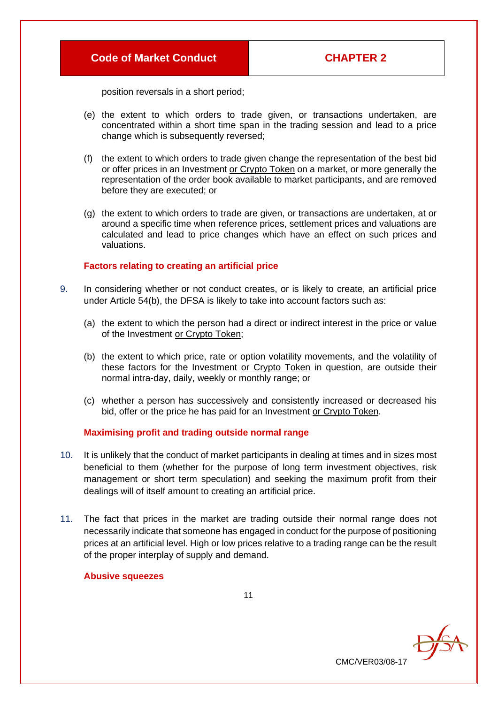CMC/VER03/08-17

**DEA** 

position reversals in a short period;

- (e) the extent to which orders to trade given, or transactions undertaken, are concentrated within a short time span in the trading session and lead to a price change which is subsequently reversed;
- (f) the extent to which orders to trade given change the representation of the best bid or offer prices in an Investment or Crypto Token on a market, or more generally the representation of the order book available to market participants, and are removed before they are executed; or
- (g) the extent to which orders to trade are given, or transactions are undertaken, at or around a specific time when reference prices, settlement prices and valuations are calculated and lead to price changes which have an effect on such prices and valuations.

#### **Factors relating to creating an artificial price**

- 9. In considering whether or not conduct creates, or is likely to create, an artificial price under Article 54(b), the DFSA is likely to take into account factors such as:
	- (a) the extent to which the person had a direct or indirect interest in the price or value of the Investment or Crypto Token;
	- (b) the extent to which price, rate or option volatility movements, and the volatility of these factors for the Investment or Crypto Token in question, are outside their normal intra-day, daily, weekly or monthly range; or
	- (c) whether a person has successively and consistently increased or decreased his bid, offer or the price he has paid for an Investment or Crypto Token.

#### **Maximising profit and trading outside normal range**

- 10. It is unlikely that the conduct of market participants in dealing at times and in sizes most beneficial to them (whether for the purpose of long term investment objectives, risk management or short term speculation) and seeking the maximum profit from their dealings will of itself amount to creating an artificial price.
- 11. The fact that prices in the market are trading outside their normal range does not necessarily indicate that someone has engaged in conduct for the purpose of positioning prices at an artificial level. High or low prices relative to a trading range can be the result of the proper interplay of supply and demand.

#### **Abusive squeezes**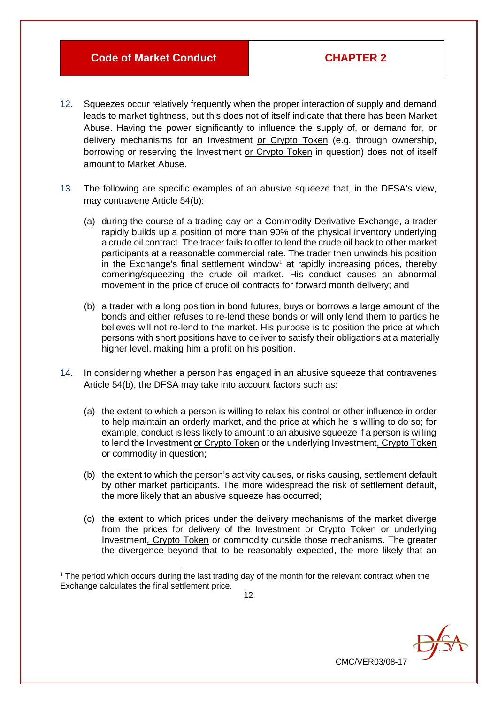- 12. Squeezes occur relatively frequently when the proper interaction of supply and demand leads to market tightness, but this does not of itself indicate that there has been Market Abuse. Having the power significantly to influence the supply of, or demand for, or delivery mechanisms for an Investment or Crypto Token (e.g. through ownership, borrowing or reserving the Investment or Crypto Token in question) does not of itself amount to Market Abuse.
- 13. The following are specific examples of an abusive squeeze that, in the DFSA's view, may contravene Article 54(b):
	- (a) during the course of a trading day on a Commodity Derivative Exchange, a trader rapidly builds up a position of more than 90% of the physical inventory underlying a crude oil contract. The trader fails to offer to lend the crude oil back to other market participants at a reasonable commercial rate. The trader then unwinds his position in the Exchange's final settlement window<sup>[1](#page-12-0)</sup> at rapidly increasing prices, thereby cornering/squeezing the crude oil market. His conduct causes an abnormal movement in the price of crude oil contracts for forward month delivery; and
	- (b) a trader with a long position in bond futures, buys or borrows a large amount of the bonds and either refuses to re-lend these bonds or will only lend them to parties he believes will not re-lend to the market. His purpose is to position the price at which persons with short positions have to deliver to satisfy their obligations at a materially higher level, making him a profit on his position.
- 14. In considering whether a person has engaged in an abusive squeeze that contravenes Article 54(b), the DFSA may take into account factors such as:
	- (a) the extent to which a person is willing to relax his control or other influence in order to help maintain an orderly market, and the price at which he is willing to do so; for example, conduct is less likely to amount to an abusive squeeze if a person is willing to lend the Investment or Crypto Token or the underlying Investment, Crypto Token or commodity in question;
	- (b) the extent to which the person's activity causes, or risks causing, settlement default by other market participants. The more widespread the risk of settlement default, the more likely that an abusive squeeze has occurred;
	- (c) the extent to which prices under the delivery mechanisms of the market diverge from the prices for delivery of the Investment or Crypto Token or underlying Investment, Crypto Token or commodity outside those mechanisms. The greater the divergence beyond that to be reasonably expected, the more likely that an

CMC/VER03/08-17

<span id="page-12-0"></span> $1$  The period which occurs during the last trading day of the month for the relevant contract when the Exchange calculates the final settlement price.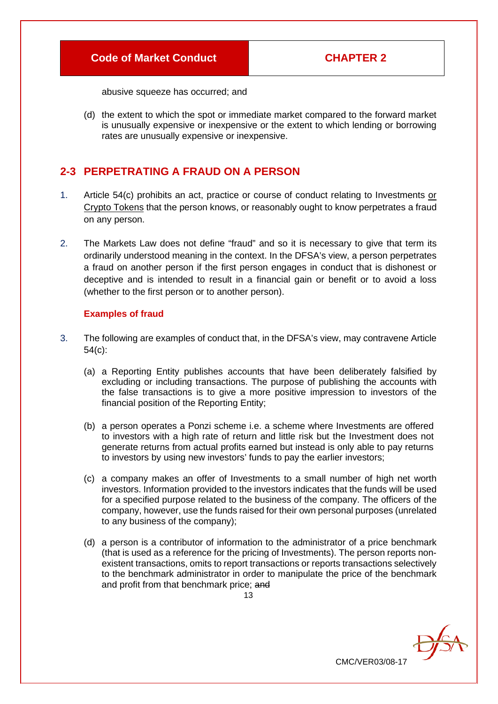abusive squeeze has occurred; and

(d) the extent to which the spot or immediate market compared to the forward market is unusually expensive or inexpensive or the extent to which lending or borrowing rates are unusually expensive or inexpensive.

# **2-3 PERPETRATING A FRAUD ON A PERSON**

- 1. Article 54(c) prohibits an act, practice or course of conduct relating to Investments or Crypto Tokens that the person knows, or reasonably ought to know perpetrates a fraud on any person.
- 2. The Markets Law does not define "fraud" and so it is necessary to give that term its ordinarily understood meaning in the context. In the DFSA's view, a person perpetrates a fraud on another person if the first person engages in conduct that is dishonest or deceptive and is intended to result in a financial gain or benefit or to avoid a loss (whether to the first person or to another person).

#### **Examples of fraud**

- 3. The following are examples of conduct that, in the DFSA's view, may contravene Article 54(c):
	- (a) a Reporting Entity publishes accounts that have been deliberately falsified by excluding or including transactions. The purpose of publishing the accounts with the false transactions is to give a more positive impression to investors of the financial position of the Reporting Entity;
	- (b) a person operates a Ponzi scheme i.e. a scheme where Investments are offered to investors with a high rate of return and little risk but the Investment does not generate returns from actual profits earned but instead is only able to pay returns to investors by using new investors' funds to pay the earlier investors;
	- (c) a company makes an offer of Investments to a small number of high net worth investors. Information provided to the investors indicates that the funds will be used for a specified purpose related to the business of the company. The officers of the company, however, use the funds raised for their own personal purposes (unrelated to any business of the company);
	- (d) a person is a contributor of information to the administrator of a price benchmark (that is used as a reference for the pricing of Investments). The person reports nonexistent transactions, omits to report transactions or reports transactions selectively to the benchmark administrator in order to manipulate the price of the benchmark and profit from that benchmark price; and

CMC/VER03/08-17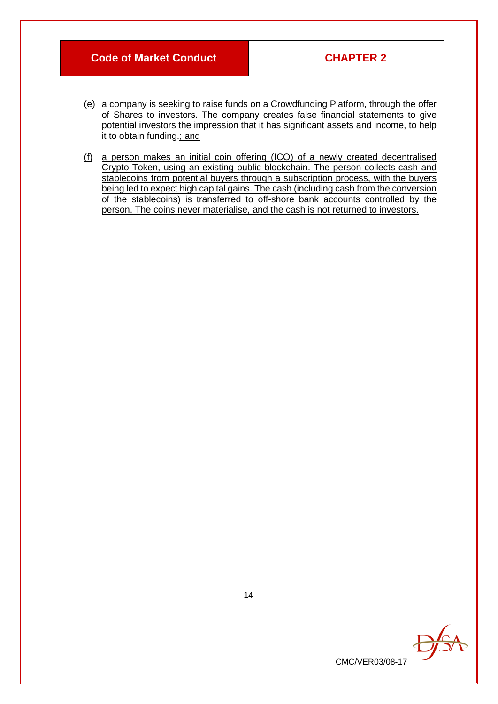- (e) a company is seeking to raise funds on a Crowdfunding Platform, through the offer of Shares to investors. The company creates false financial statements to give potential investors the impression that it has significant assets and income, to help it to obtain funding.; and
- (f) a person makes an initial coin offering (ICO) of a newly created decentralised Crypto Token, using an existing public blockchain. The person collects cash and stablecoins from potential buyers through a subscription process, with the buyers being led to expect high capital gains. The cash (including cash from the conversion of the stablecoins) is transferred to off-shore bank accounts controlled by the person. The coins never materialise, and the cash is not returned to investors.



14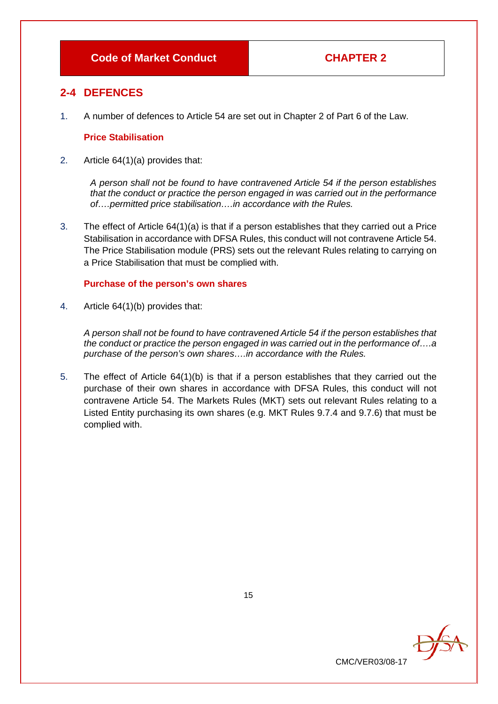# **2-4 DEFENCES**

1. A number of defences to Article 54 are set out in Chapter 2 of Part 6 of the Law.

#### **Price Stabilisation**

2. Article 64(1)(a) provides that:

*A person shall not be found to have contravened Article 54 if the person establishes that the conduct or practice the person engaged in was carried out in the performance of….permitted price stabilisation….in accordance with the Rules.*

3. The effect of Article 64(1)(a) is that if a person establishes that they carried out a Price Stabilisation in accordance with DFSA Rules, this conduct will not contravene Article 54. The Price Stabilisation module (PRS) sets out the relevant Rules relating to carrying on a Price Stabilisation that must be complied with.

#### **Purchase of the person's own shares**

4. Article 64(1)(b) provides that:

*A person shall not be found to have contravened Article 54 if the person establishes that the conduct or practice the person engaged in was carried out in the performance of….a purchase of the person's own shares….in accordance with the Rules.*

5. The effect of Article 64(1)(b) is that if a person establishes that they carried out the purchase of their own shares in accordance with DFSA Rules, this conduct will not contravene Article 54. The Markets Rules (MKT) sets out relevant Rules relating to a Listed Entity purchasing its own shares (e.g. MKT Rules 9.7.4 and 9.7.6) that must be complied with.

| CMC/VER03/08-17 |  |
|-----------------|--|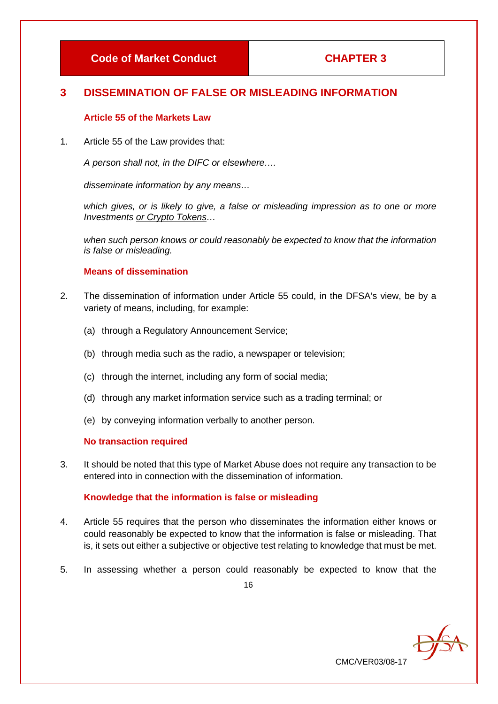# **3 DISSEMINATION OF FALSE OR MISLEADING INFORMATION**

#### **Article 55 of the Markets Law**

1. Article 55 of the Law provides that:

*A person shall not, in the DIFC or elsewhere….*

*disseminate information by any means…*

which gives, or is likely to give, a false or misleading impression as to one or more *Investments or Crypto Tokens…*

*when such person knows or could reasonably be expected to know that the information is false or misleading.*

# **Means of dissemination**

- 2. The dissemination of information under Article 55 could, in the DFSA's view, be by a variety of means, including, for example:
	- (a) through a Regulatory Announcement Service;
	- (b) through media such as the radio, a newspaper or television;
	- (c) through the internet, including any form of social media;
	- (d) through any market information service such as a trading terminal; or
	- (e) by conveying information verbally to another person.

# **No transaction required**

3. It should be noted that this type of Market Abuse does not require any transaction to be entered into in connection with the dissemination of information.

# **Knowledge that the information is false or misleading**

- 4. Article 55 requires that the person who disseminates the information either knows or could reasonably be expected to know that the information is false or misleading. That is, it sets out either a subjective or objective test relating to knowledge that must be met.
- 5. In assessing whether a person could reasonably be expected to know that the

CMC/VER03/08-17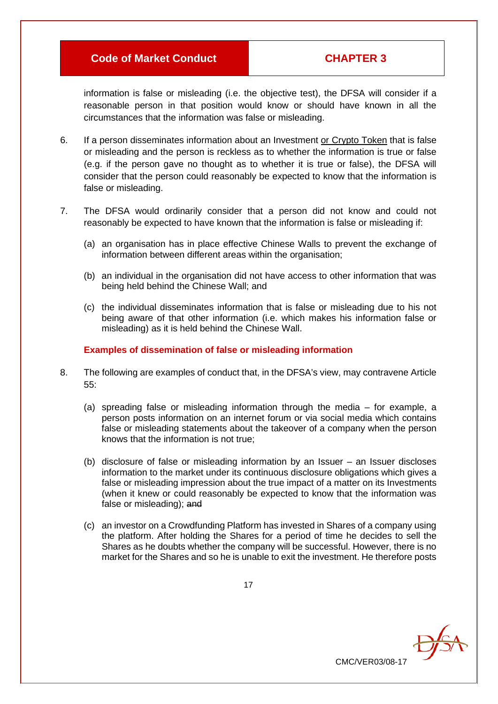information is false or misleading (i.e. the objective test), the DFSA will consider if a reasonable person in that position would know or should have known in all the circumstances that the information was false or misleading.

- 6. If a person disseminates information about an Investment or Crypto Token that is false or misleading and the person is reckless as to whether the information is true or false (e.g. if the person gave no thought as to whether it is true or false), the DFSA will consider that the person could reasonably be expected to know that the information is false or misleading.
- 7. The DFSA would ordinarily consider that a person did not know and could not reasonably be expected to have known that the information is false or misleading if:
	- (a) an organisation has in place effective Chinese Walls to prevent the exchange of information between different areas within the organisation;
	- (b) an individual in the organisation did not have access to other information that was being held behind the Chinese Wall; and
	- (c) the individual disseminates information that is false or misleading due to his not being aware of that other information (i.e. which makes his information false or misleading) as it is held behind the Chinese Wall.

#### **Examples of dissemination of false or misleading information**

- 8. The following are examples of conduct that, in the DFSA's view, may contravene Article 55:
	- (a) spreading false or misleading information through the media for example, a person posts information on an internet forum or via social media which contains false or misleading statements about the takeover of a company when the person knows that the information is not true;
	- (b) disclosure of false or misleading information by an Issuer an Issuer discloses information to the market under its continuous disclosure obligations which gives a false or misleading impression about the true impact of a matter on its Investments (when it knew or could reasonably be expected to know that the information was false or misleading); and
	- (c) an investor on a Crowdfunding Platform has invested in Shares of a company using the platform. After holding the Shares for a period of time he decides to sell the Shares as he doubts whether the company will be successful. However, there is no market for the Shares and so he is unable to exit the investment. He therefore posts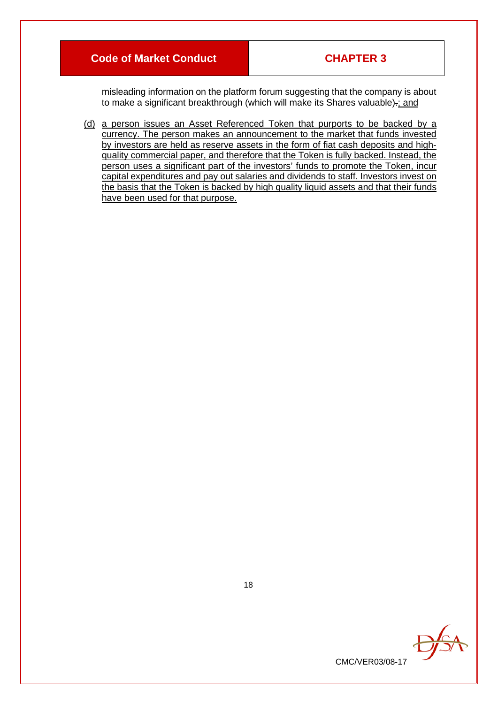misleading information on the platform forum suggesting that the company is about to make a significant breakthrough (which will make its Shares valuable)-; and

(d) a person issues an Asset Referenced Token that purports to be backed by a currency. The person makes an announcement to the market that funds invested by investors are held as reserve assets in the form of fiat cash deposits and highquality commercial paper, and therefore that the Token is fully backed. Instead, the person uses a significant part of the investors' funds to promote the Token, incur capital expenditures and pay out salaries and dividends to staff. Investors invest on the basis that the Token is backed by high quality liquid assets and that their funds have been used for that purpose.



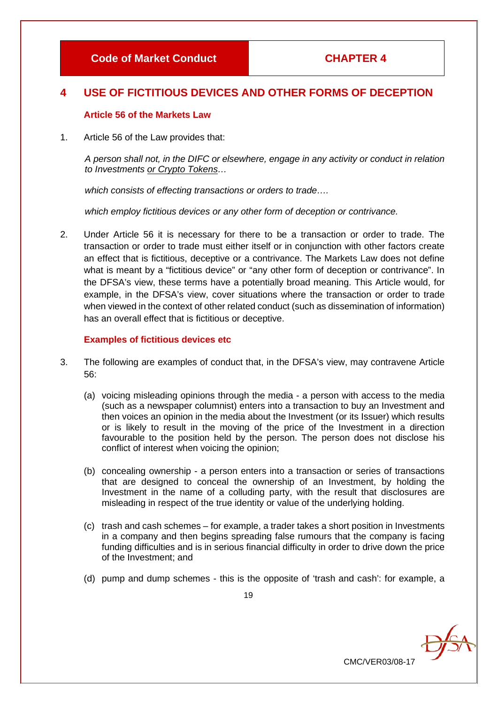# **4 USE OF FICTITIOUS DEVICES AND OTHER FORMS OF DECEPTION**

#### **Article 56 of the Markets Law**

1. Article 56 of the Law provides that:

*A person shall not, in the DIFC or elsewhere, engage in any activity or conduct in relation to Investments or Crypto Tokens…*

*which consists of effecting transactions or orders to trade….*

*which employ fictitious devices or any other form of deception or contrivance.*

2. Under Article 56 it is necessary for there to be a transaction or order to trade. The transaction or order to trade must either itself or in conjunction with other factors create an effect that is fictitious, deceptive or a contrivance. The Markets Law does not define what is meant by a "fictitious device" or "any other form of deception or contrivance". In the DFSA's view, these terms have a potentially broad meaning. This Article would, for example, in the DFSA's view, cover situations where the transaction or order to trade when viewed in the context of other related conduct (such as dissemination of information) has an overall effect that is fictitious or deceptive.

#### **Examples of fictitious devices etc**

- 3. The following are examples of conduct that, in the DFSA's view, may contravene Article 56:
	- (a) voicing misleading opinions through the media a person with access to the media (such as a newspaper columnist) enters into a transaction to buy an Investment and then voices an opinion in the media about the Investment (or its Issuer) which results or is likely to result in the moving of the price of the Investment in a direction favourable to the position held by the person. The person does not disclose his conflict of interest when voicing the opinion;
	- (b) concealing ownership a person enters into a transaction or series of transactions that are designed to conceal the ownership of an Investment, by holding the Investment in the name of a colluding party, with the result that disclosures are misleading in respect of the true identity or value of the underlying holding.
	- (c) trash and cash schemes for example, a trader takes a short position in Investments in a company and then begins spreading false rumours that the company is facing funding difficulties and is in serious financial difficulty in order to drive down the price of the Investment; and
	- (d) pump and dump schemes this is the opposite of 'trash and cash': for example, a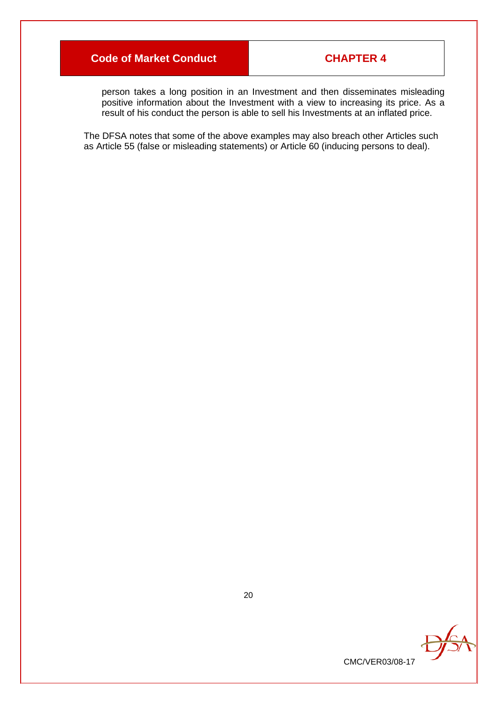person takes a long position in an Investment and then disseminates misleading positive information about the Investment with a view to increasing its price. As a result of his conduct the person is able to sell his Investments at an inflated price.

The DFSA notes that some of the above examples may also breach other Articles such as Article 55 (false or misleading statements) or Article 60 (inducing persons to deal).

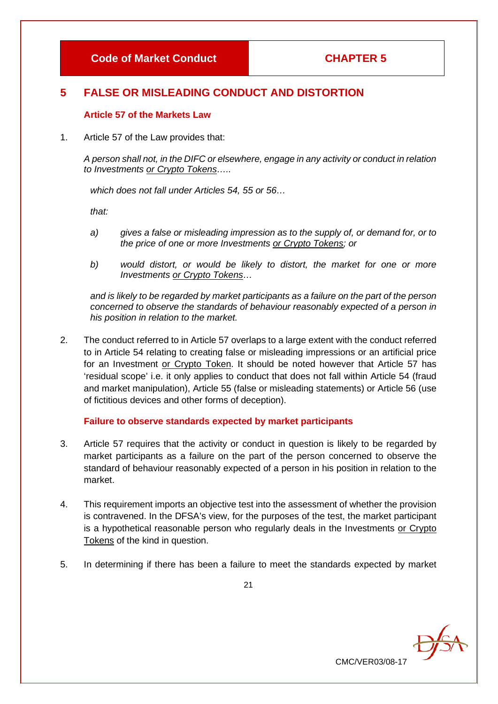# **5 FALSE OR MISLEADING CONDUCT AND DISTORTION**

# **Article 57 of the Markets Law**

1. Article 57 of the Law provides that:

*A person shall not, in the DIFC or elsewhere, engage in any activity or conduct in relation to Investments or Crypto Tokens…..*

*which does not fall under Articles 54, 55 or 56…*

*that:*

- *a) gives a false or misleading impression as to the supply of, or demand for, or to the price of one or more Investments or Crypto Tokens; or*
- *b) would distort, or would be likely to distort, the market for one or more Investments or Crypto Tokens…*

*and is likely to be regarded by market participants as a failure on the part of the person concerned to observe the standards of behaviour reasonably expected of a person in his position in relation to the market.*

2. The conduct referred to in Article 57 overlaps to a large extent with the conduct referred to in Article 54 relating to creating false or misleading impressions or an artificial price for an Investment or Crypto Token. It should be noted however that Article 57 has 'residual scope' i.e. it only applies to conduct that does not fall within Article 54 (fraud and market manipulation), Article 55 (false or misleading statements) or Article 56 (use of fictitious devices and other forms of deception).

# **Failure to observe standards expected by market participants**

- 3. Article 57 requires that the activity or conduct in question is likely to be regarded by market participants as a failure on the part of the person concerned to observe the standard of behaviour reasonably expected of a person in his position in relation to the market.
- 4. This requirement imports an objective test into the assessment of whether the provision is contravened. In the DFSA's view, for the purposes of the test, the market participant is a hypothetical reasonable person who regularly deals in the Investments or Crypto Tokens of the kind in question.
- 5. In determining if there has been a failure to meet the standards expected by market

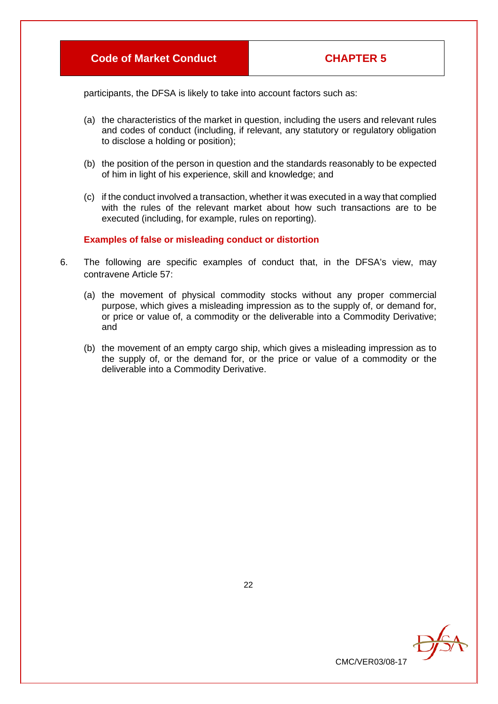participants, the DFSA is likely to take into account factors such as:

- (a) the characteristics of the market in question, including the users and relevant rules and codes of conduct (including, if relevant, any statutory or regulatory obligation to disclose a holding or position);
- (b) the position of the person in question and the standards reasonably to be expected of him in light of his experience, skill and knowledge; and
- (c) if the conduct involved a transaction, whether it was executed in a way that complied with the rules of the relevant market about how such transactions are to be executed (including, for example, rules on reporting).

#### **Examples of false or misleading conduct or distortion**

- 6. The following are specific examples of conduct that, in the DFSA's view, may contravene Article 57:
	- (a) the movement of physical commodity stocks without any proper commercial purpose, which gives a misleading impression as to the supply of, or demand for, or price or value of, a commodity or the deliverable into a Commodity Derivative; and
	- (b) the movement of an empty cargo ship, which gives a misleading impression as to the supply of, or the demand for, or the price or value of a commodity or the deliverable into a Commodity Derivative.



22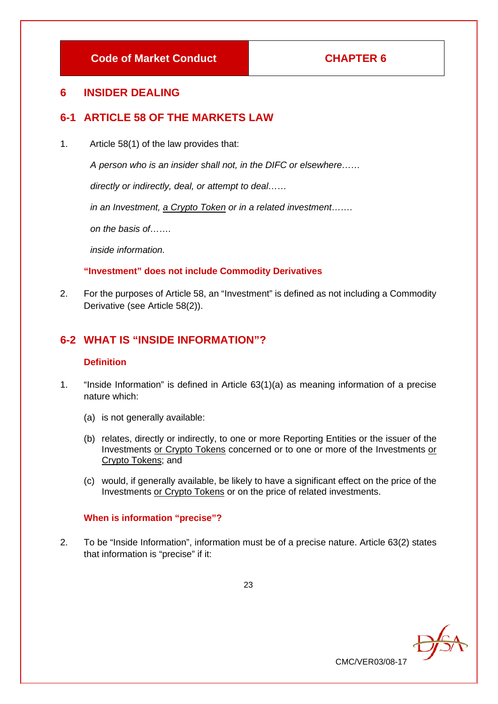# **6 INSIDER DEALING**

# **6-1 ARTICLE 58 OF THE MARKETS LAW**

1. Article 58(1) of the law provides that:

*A person who is an insider shall not, in the DIFC or elsewhere……* 

*directly or indirectly, deal, or attempt to deal……* 

*in an Investment, a Crypto Token or in a related investment…….* 

*on the basis of…….* 

*inside information.*

# **"Investment" does not include Commodity Derivatives**

2. For the purposes of Article 58, an "Investment" is defined as not including a Commodity Derivative (see Article 58(2)).

# **6-2 WHAT IS "INSIDE INFORMATION"?**

# **Definition**

- 1. "Inside Information" is defined in Article 63(1)(a) as meaning information of a precise nature which:
	- (a) is not generally available:
	- (b) relates, directly or indirectly, to one or more Reporting Entities or the issuer of the Investments or Crypto Tokens concerned or to one or more of the Investments or Crypto Tokens; and
	- (c) would, if generally available, be likely to have a significant effect on the price of the Investments or Crypto Tokens or on the price of related investments.

# **When is information "precise"?**

2. To be "Inside Information", information must be of a precise nature. Article 63(2) states that information is "precise" if it:

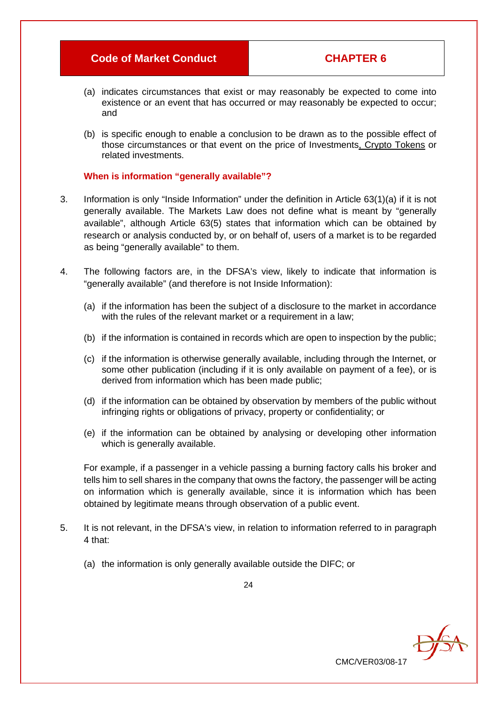CMC/VER03/08-17

DfSt

- (a) indicates circumstances that exist or may reasonably be expected to come into existence or an event that has occurred or may reasonably be expected to occur; and
- (b) is specific enough to enable a conclusion to be drawn as to the possible effect of those circumstances or that event on the price of Investments, Crypto Tokens or related investments.

#### **When is information "generally available"?**

- 3. Information is only "Inside Information" under the definition in Article 63(1)(a) if it is not generally available. The Markets Law does not define what is meant by "generally available", although Article 63(5) states that information which can be obtained by research or analysis conducted by, or on behalf of, users of a market is to be regarded as being "generally available" to them.
- 4. The following factors are, in the DFSA's view, likely to indicate that information is "generally available" (and therefore is not Inside Information):
	- (a) if the information has been the subject of a disclosure to the market in accordance with the rules of the relevant market or a requirement in a law;
	- (b) if the information is contained in records which are open to inspection by the public;
	- (c) if the information is otherwise generally available, including through the Internet, or some other publication (including if it is only available on payment of a fee), or is derived from information which has been made public;
	- (d) if the information can be obtained by observation by members of the public without infringing rights or obligations of privacy, property or confidentiality; or
	- (e) if the information can be obtained by analysing or developing other information which is generally available.

For example, if a passenger in a vehicle passing a burning factory calls his broker and tells him to sell shares in the company that owns the factory, the passenger will be acting on information which is generally available, since it is information which has been obtained by legitimate means through observation of a public event.

- 5. It is not relevant, in the DFSA's view, in relation to information referred to in paragraph 4 that:
	- (a) the information is only generally available outside the DIFC; or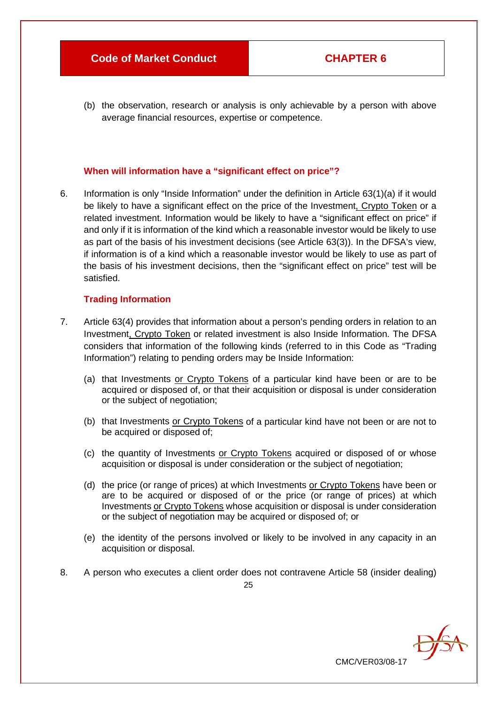(b) the observation, research or analysis is only achievable by a person with above average financial resources, expertise or competence.

#### **When will information have a "significant effect on price"?**

6. Information is only "Inside Information" under the definition in Article 63(1)(a) if it would be likely to have a significant effect on the price of the Investment, Crypto Token or a related investment. Information would be likely to have a "significant effect on price" if and only if it is information of the kind which a reasonable investor would be likely to use as part of the basis of his investment decisions (see Article 63(3)). In the DFSA's view, if information is of a kind which a reasonable investor would be likely to use as part of the basis of his investment decisions, then the "significant effect on price" test will be satisfied.

#### **Trading Information**

- 7. Article 63(4) provides that information about a person's pending orders in relation to an Investment, Crypto Token or related investment is also Inside Information. The DFSA considers that information of the following kinds (referred to in this Code as "Trading Information") relating to pending orders may be Inside Information:
	- (a) that Investments or Crypto Tokens of a particular kind have been or are to be acquired or disposed of, or that their acquisition or disposal is under consideration or the subject of negotiation;
	- (b) that Investments or Crypto Tokens of a particular kind have not been or are not to be acquired or disposed of;
	- (c) the quantity of Investments or Crypto Tokens acquired or disposed of or whose acquisition or disposal is under consideration or the subject of negotiation;
	- (d) the price (or range of prices) at which Investments or Crypto Tokens have been or are to be acquired or disposed of or the price (or range of prices) at which Investments or Crypto Tokens whose acquisition or disposal is under consideration or the subject of negotiation may be acquired or disposed of; or
	- (e) the identity of the persons involved or likely to be involved in any capacity in an acquisition or disposal.

CMC/VER03/08-17

8. A person who executes a client order does not contravene Article 58 (insider dealing)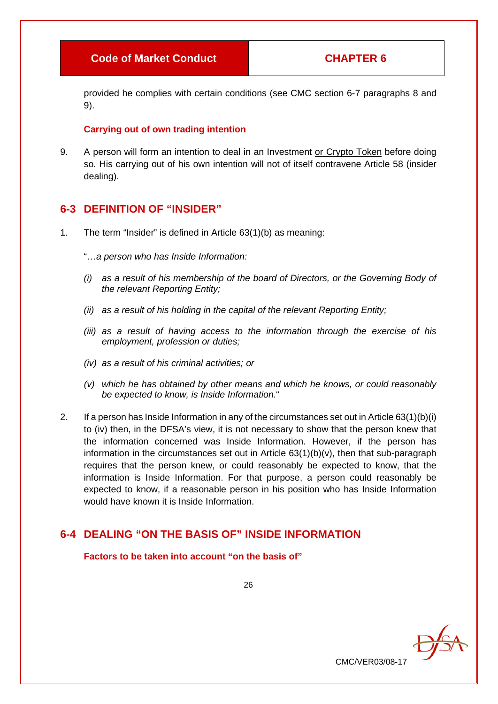provided he complies with certain conditions (see CMC section 6-7 paragraphs 8 and 9).

#### **Carrying out of own trading intention**

9. A person will form an intention to deal in an Investment or Crypto Token before doing so. His carrying out of his own intention will not of itself contravene Article 58 (insider dealing).

# **6-3 DEFINITION OF "INSIDER"**

1. The term "Insider" is defined in Article 63(1)(b) as meaning:

"…*a person who has Inside Information:*

- *(i) as a result of his membership of the board of Directors, or the Governing Body of the relevant Reporting Entity;*
- *(ii) as a result of his holding in the capital of the relevant Reporting Entity;*
- *(iii) as a result of having access to the information through the exercise of his employment, profession or duties;*
- *(iv) as a result of his criminal activities; or*
- *(v) which he has obtained by other means and which he knows, or could reasonably be expected to know, is Inside Information.*"
- 2. If a person has Inside Information in any of the circumstances set out in Article 63(1)(b)(i) to (iv) then, in the DFSA's view, it is not necessary to show that the person knew that the information concerned was Inside Information. However, if the person has information in the circumstances set out in Article 63(1)(b)(v), then that sub-paragraph requires that the person knew, or could reasonably be expected to know, that the information is Inside Information. For that purpose, a person could reasonably be expected to know, if a reasonable person in his position who has Inside Information would have known it is Inside Information.

# **6-4 DEALING "ON THE BASIS OF" INSIDE INFORMATION**

**Factors to be taken into account "on the basis of"**

26

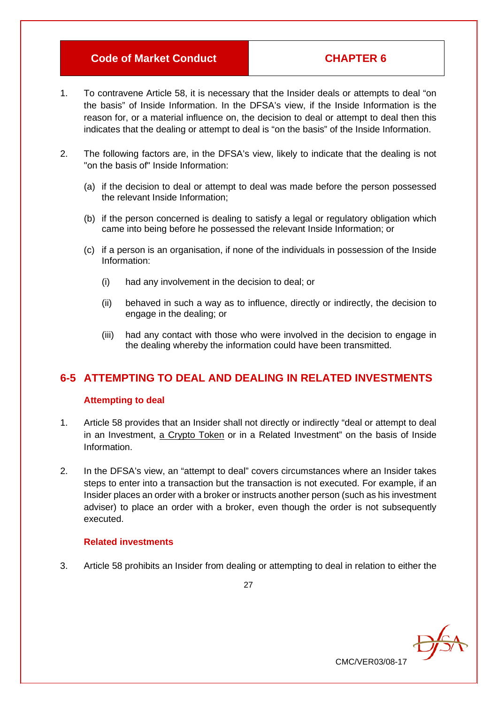CMC/VER03/08-17

- 1. To contravene Article 58, it is necessary that the Insider deals or attempts to deal "on the basis" of Inside Information. In the DFSA's view, if the Inside Information is the reason for, or a material influence on, the decision to deal or attempt to deal then this indicates that the dealing or attempt to deal is "on the basis" of the Inside Information.
- 2. The following factors are, in the DFSA's view, likely to indicate that the dealing is not "on the basis of" Inside Information:
	- (a) if the decision to deal or attempt to deal was made before the person possessed the relevant Inside Information;
	- (b) if the person concerned is dealing to satisfy a legal or regulatory obligation which came into being before he possessed the relevant Inside Information; or
	- (c) if a person is an organisation, if none of the individuals in possession of the Inside Information:
		- (i) had any involvement in the decision to deal; or
		- (ii) behaved in such a way as to influence, directly or indirectly, the decision to engage in the dealing; or
		- (iii) had any contact with those who were involved in the decision to engage in the dealing whereby the information could have been transmitted.

# **6-5 ATTEMPTING TO DEAL AND DEALING IN RELATED INVESTMENTS**

#### **Attempting to deal**

- 1. Article 58 provides that an Insider shall not directly or indirectly "deal or attempt to deal in an Investment, a Crypto Token or in a Related Investment" on the basis of Inside Information.
- 2. In the DFSA's view, an "attempt to deal" covers circumstances where an Insider takes steps to enter into a transaction but the transaction is not executed. For example, if an Insider places an order with a broker or instructs another person (such as his investment adviser) to place an order with a broker, even though the order is not subsequently executed.

#### **Related investments**

3. Article 58 prohibits an Insider from dealing or attempting to deal in relation to either the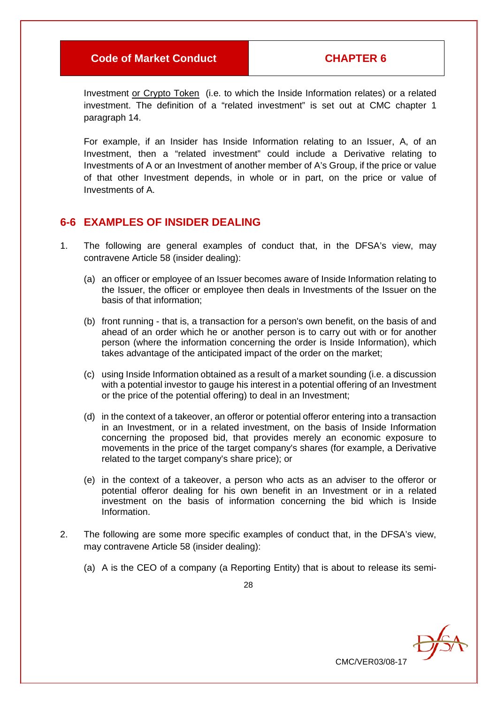Investment or Crypto Token (i.e. to which the Inside Information relates) or a related investment. The definition of a "related investment" is set out at CMC chapter 1 paragraph 14.

For example, if an Insider has Inside Information relating to an Issuer, A, of an Investment, then a "related investment" could include a Derivative relating to Investments of A or an Investment of another member of A's Group, if the price or value of that other Investment depends, in whole or in part, on the price or value of Investments of A.

# **6-6 EXAMPLES OF INSIDER DEALING**

- 1. The following are general examples of conduct that, in the DFSA's view, may contravene Article 58 (insider dealing):
	- (a) an officer or employee of an Issuer becomes aware of Inside Information relating to the Issuer, the officer or employee then deals in Investments of the Issuer on the basis of that information;
	- (b) front running that is, a transaction for a person's own benefit, on the basis of and ahead of an order which he or another person is to carry out with or for another person (where the information concerning the order is Inside Information), which takes advantage of the anticipated impact of the order on the market;
	- (c) using Inside Information obtained as a result of a market sounding (i.e. a discussion with a potential investor to gauge his interest in a potential offering of an Investment or the price of the potential offering) to deal in an Investment;
	- (d) in the context of a takeover, an offeror or potential offeror entering into a transaction in an Investment, or in a related investment, on the basis of Inside Information concerning the proposed bid, that provides merely an economic exposure to movements in the price of the target company's shares (for example, a Derivative related to the target company's share price); or
	- (e) in the context of a takeover, a person who acts as an adviser to the offeror or potential offeror dealing for his own benefit in an Investment or in a related investment on the basis of information concerning the bid which is Inside Information.
- 2. The following are some more specific examples of conduct that, in the DFSA's view, may contravene Article 58 (insider dealing):
	- (a) A is the CEO of a company (a Reporting Entity) that is about to release its semi-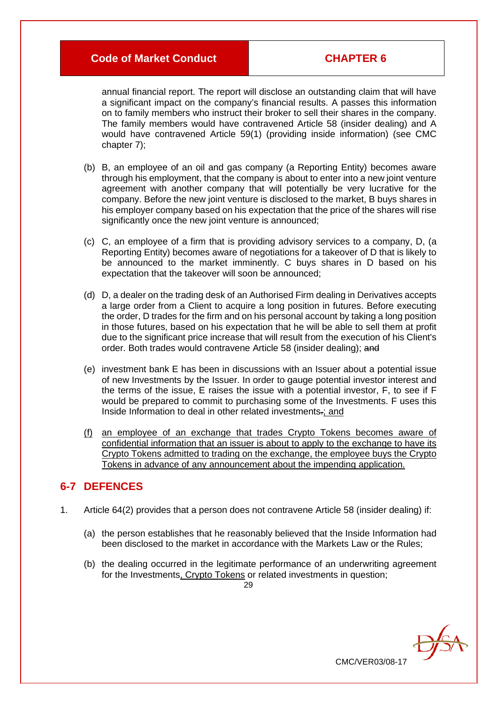annual financial report. The report will disclose an outstanding claim that will have a significant impact on the company's financial results. A passes this information on to family members who instruct their broker to sell their shares in the company. The family members would have contravened Article 58 (insider dealing) and A would have contravened Article 59(1) (providing inside information) (see CMC chapter 7);

- (b) B, an employee of an oil and gas company (a Reporting Entity) becomes aware through his employment, that the company is about to enter into a new joint venture agreement with another company that will potentially be very lucrative for the company. Before the new joint venture is disclosed to the market, B buys shares in his employer company based on his expectation that the price of the shares will rise significantly once the new joint venture is announced;
- (c) C, an employee of a firm that is providing advisory services to a company, D, (a Reporting Entity) becomes aware of negotiations for a takeover of D that is likely to be announced to the market imminently. C buys shares in D based on his expectation that the takeover will soon be announced;
- (d) D, a dealer on the trading desk of an Authorised Firm dealing in Derivatives accepts a large order from a Client to acquire a long position in futures. Before executing the order, D trades for the firm and on his personal account by taking a long position in those futures, based on his expectation that he will be able to sell them at profit due to the significant price increase that will result from the execution of his Client's order. Both trades would contravene Article 58 (insider dealing); and
- (e) investment bank E has been in discussions with an Issuer about a potential issue of new Investments by the Issuer. In order to gauge potential investor interest and the terms of the issue, E raises the issue with a potential investor, F, to see if F would be prepared to commit to purchasing some of the Investments. F uses this Inside Information to deal in other related investments.; and
- (f) an employee of an exchange that trades Crypto Tokens becomes aware of confidential information that an issuer is about to apply to the exchange to have its Crypto Tokens admitted to trading on the exchange, the employee buys the Crypto Tokens in advance of any announcement about the impending application.

# **6-7 DEFENCES**

- 1. Article 64(2) provides that a person does not contravene Article 58 (insider dealing) if:
	- (a) the person establishes that he reasonably believed that the Inside Information had been disclosed to the market in accordance with the Markets Law or the Rules;
	- (b) the dealing occurred in the legitimate performance of an underwriting agreement for the Investments, Crypto Tokens or related investments in question;

 $29$ 

 $\partial f$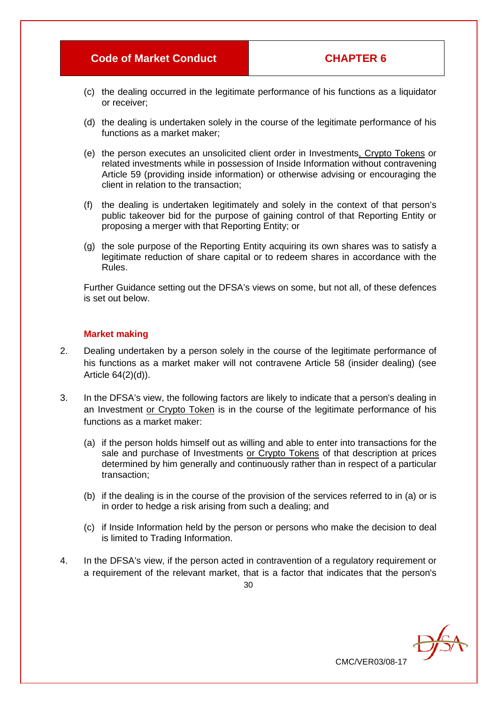CMC/VER03/08-17

- (c) the dealing occurred in the legitimate performance of his functions as a liquidator or receiver;
- (d) the dealing is undertaken solely in the course of the legitimate performance of his functions as a market maker;
- (e) the person executes an unsolicited client order in Investments, Crypto Tokens or related investments while in possession of Inside Information without contravening Article 59 (providing inside information) or otherwise advising or encouraging the client in relation to the transaction;
- (f) the dealing is undertaken legitimately and solely in the context of that person's public takeover bid for the purpose of gaining control of that Reporting Entity or proposing a merger with that Reporting Entity; or
- (g) the sole purpose of the Reporting Entity acquiring its own shares was to satisfy a legitimate reduction of share capital or to redeem shares in accordance with the Rules.

Further Guidance setting out the DFSA's views on some, but not all, of these defences is set out below.

#### **Market making**

- 2. Dealing undertaken by a person solely in the course of the legitimate performance of his functions as a market maker will not contravene Article 58 (insider dealing) (see Article 64(2)(d)).
- 3. In the DFSA's view, the following factors are likely to indicate that a person's dealing in an Investment or Crypto Token is in the course of the legitimate performance of his functions as a market maker:
	- (a) if the person holds himself out as willing and able to enter into transactions for the sale and purchase of Investments or Crypto Tokens of that description at prices determined by him generally and continuously rather than in respect of a particular transaction;
	- (b) if the dealing is in the course of the provision of the services referred to in (a) or is in order to hedge a risk arising from such a dealing; and
	- (c) if Inside Information held by the person or persons who make the decision to deal is limited to Trading Information.
- 4. In the DFSA's view, if the person acted in contravention of a regulatory requirement or a requirement of the relevant market, that is a factor that indicates that the person's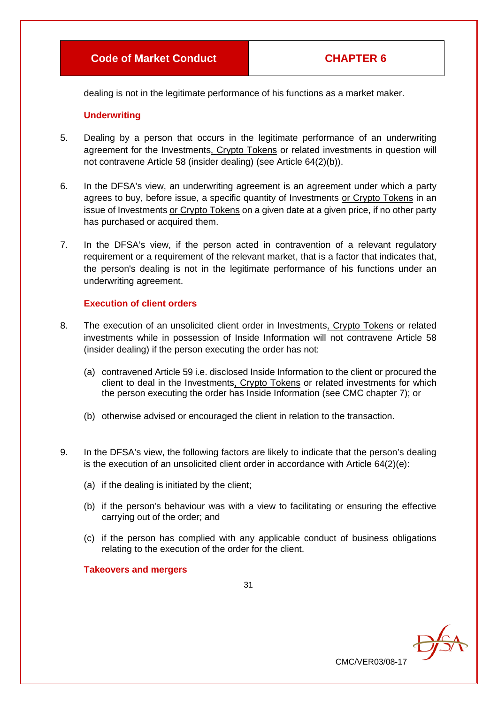dealing is not in the legitimate performance of his functions as a market maker.

#### **Underwriting**

- 5. Dealing by a person that occurs in the legitimate performance of an underwriting agreement for the Investments, Crypto Tokens or related investments in question will not contravene Article 58 (insider dealing) (see Article 64(2)(b)).
- 6. In the DFSA's view, an underwriting agreement is an agreement under which a party agrees to buy, before issue, a specific quantity of Investments or Crypto Tokens in an issue of Investments or Crypto Tokens on a given date at a given price, if no other party has purchased or acquired them.
- 7. In the DFSA's view, if the person acted in contravention of a relevant regulatory requirement or a requirement of the relevant market, that is a factor that indicates that, the person's dealing is not in the legitimate performance of his functions under an underwriting agreement.

#### **Execution of client orders**

- 8. The execution of an unsolicited client order in Investments, Crypto Tokens or related investments while in possession of Inside Information will not contravene Article 58 (insider dealing) if the person executing the order has not:
	- (a) contravened Article 59 i.e. disclosed Inside Information to the client or procured the client to deal in the Investments, Crypto Tokens or related investments for which the person executing the order has Inside Information (see CMC chapter 7); or
	- (b) otherwise advised or encouraged the client in relation to the transaction.
- 9. In the DFSA's view, the following factors are likely to indicate that the person's dealing is the execution of an unsolicited client order in accordance with Article 64(2)(e):
	- (a) if the dealing is initiated by the client;
	- (b) if the person's behaviour was with a view to facilitating or ensuring the effective carrying out of the order; and
	- (c) if the person has complied with any applicable conduct of business obligations relating to the execution of the order for the client.

**Takeovers and mergers**

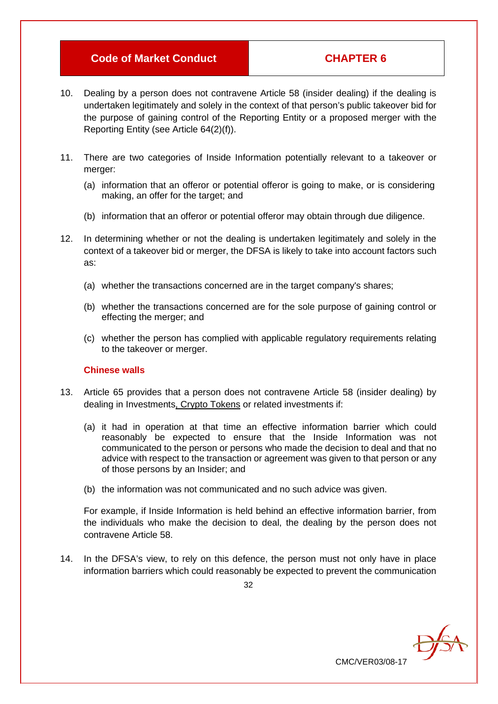CMC/VER03/08-17

- 10. Dealing by a person does not contravene Article 58 (insider dealing) if the dealing is undertaken legitimately and solely in the context of that person's public takeover bid for the purpose of gaining control of the Reporting Entity or a proposed merger with the Reporting Entity (see Article 64(2)(f)).
- 11. There are two categories of Inside Information potentially relevant to a takeover or merger:
	- (a) information that an offeror or potential offeror is going to make, or is considering making, an offer for the target; and
	- (b) information that an offeror or potential offeror may obtain through due diligence.
- 12. In determining whether or not the dealing is undertaken legitimately and solely in the context of a takeover bid or merger, the DFSA is likely to take into account factors such as:
	- (a) whether the transactions concerned are in the target company's shares;
	- (b) whether the transactions concerned are for the sole purpose of gaining control or effecting the merger; and
	- (c) whether the person has complied with applicable regulatory requirements relating to the takeover or merger.

#### **Chinese walls**

- 13. Article 65 provides that a person does not contravene Article 58 (insider dealing) by dealing in Investments, Crypto Tokens or related investments if:
	- (a) it had in operation at that time an effective information barrier which could reasonably be expected to ensure that the Inside Information was not communicated to the person or persons who made the decision to deal and that no advice with respect to the transaction or agreement was given to that person or any of those persons by an Insider; and
	- (b) the information was not communicated and no such advice was given.

For example, if Inside Information is held behind an effective information barrier, from the individuals who make the decision to deal, the dealing by the person does not contravene Article 58.

14. In the DFSA's view, to rely on this defence, the person must not only have in place information barriers which could reasonably be expected to prevent the communication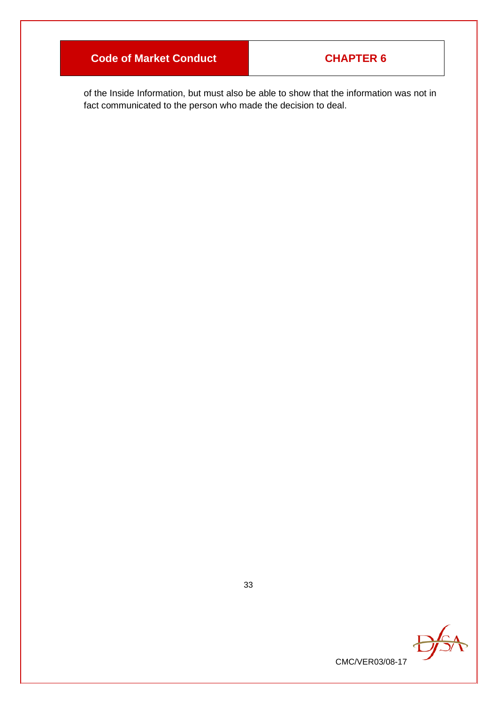of the Inside Information, but must also be able to show that the information was not in fact communicated to the person who made the decision to deal.

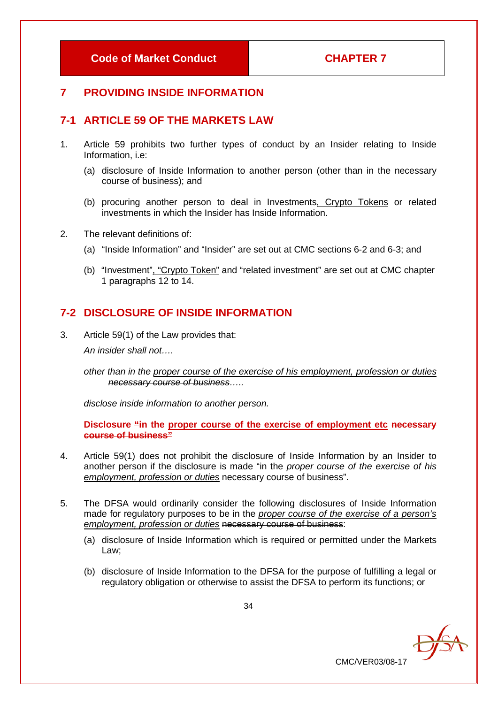# **7 PROVIDING INSIDE INFORMATION**

# **7-1 ARTICLE 59 OF THE MARKETS LAW**

- 1. Article 59 prohibits two further types of conduct by an Insider relating to Inside Information, i.e:
	- (a) disclosure of Inside Information to another person (other than in the necessary course of business); and
	- (b) procuring another person to deal in Investments, Crypto Tokens or related investments in which the Insider has Inside Information.
- 2. The relevant definitions of:
	- (a) "Inside Information" and "Insider" are set out at CMC sections 6-2 and 6-3; and
	- (b) "Investment", "Crypto Token" and "related investment" are set out at CMC chapter 1 paragraphs 12 to 14.

# **7-2 DISCLOSURE OF INSIDE INFORMATION**

3. Article 59(1) of the Law provides that: *An insider shall not….*

> *other than in the proper course of the exercise of his employment, profession or duties necessary course of business…..*

*disclose inside information to another person.*

**Disclosure "in the proper course of the exercise of employment etc necessary course of business"**

- 4. Article 59(1) does not prohibit the disclosure of Inside Information by an Insider to another person if the disclosure is made "in the *proper course of the exercise of his employment, profession or duties* necessary course of business".
- 5. The DFSA would ordinarily consider the following disclosures of Inside Information made for regulatory purposes to be in the *proper course of the exercise of a person's employment, profession or duties* necessary course of business:
	- (a) disclosure of Inside Information which is required or permitted under the Markets Law;
	- (b) disclosure of Inside Information to the DFSA for the purpose of fulfilling a legal or regulatory obligation or otherwise to assist the DFSA to perform its functions; or

**DEA**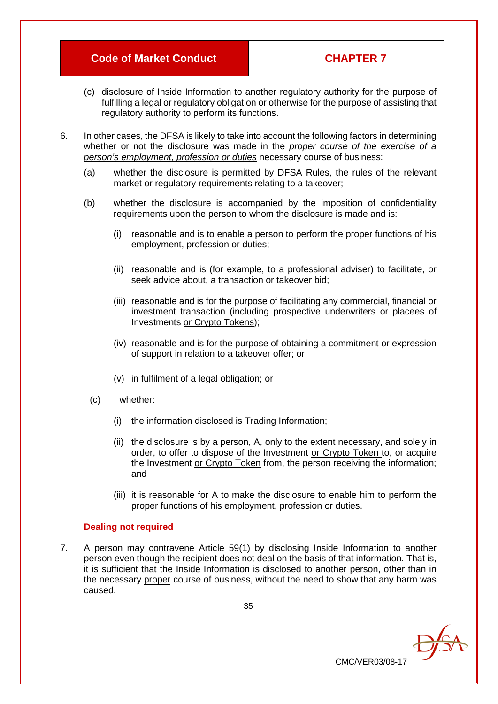- (c) disclosure of Inside Information to another regulatory authority for the purpose of fulfilling a legal or regulatory obligation or otherwise for the purpose of assisting that regulatory authority to perform its functions.
- 6. In other cases, the DFSA is likely to take into account the following factors in determining whether or not the disclosure was made in the *proper course of the exercise of a person's employment, profession or duties* necessary course of business:
	- (a) whether the disclosure is permitted by DFSA Rules, the rules of the relevant market or regulatory requirements relating to a takeover:
	- (b) whether the disclosure is accompanied by the imposition of confidentiality requirements upon the person to whom the disclosure is made and is:
		- (i) reasonable and is to enable a person to perform the proper functions of his employment, profession or duties;
		- (ii) reasonable and is (for example, to a professional adviser) to facilitate, or seek advice about, a transaction or takeover bid;
		- (iii) reasonable and is for the purpose of facilitating any commercial, financial or investment transaction (including prospective underwriters or placees of Investments or Crypto Tokens);
		- (iv) reasonable and is for the purpose of obtaining a commitment or expression of support in relation to a takeover offer; or
		- (v) in fulfilment of a legal obligation; or
		- (c) whether:
			- (i) the information disclosed is Trading Information;
			- (ii) the disclosure is by a person, A, only to the extent necessary, and solely in order, to offer to dispose of the Investment or Crypto Token to, or acquire the Investment or Crypto Token from, the person receiving the information; and
			- (iii) it is reasonable for A to make the disclosure to enable him to perform the proper functions of his employment, profession or duties.

CMC/VER03/08-17

**DEA** 

#### **Dealing not required**

7. A person may contravene Article 59(1) by disclosing Inside Information to another person even though the recipient does not deal on the basis of that information. That is, it is sufficient that the Inside Information is disclosed to another person, other than in the necessary proper course of business, without the need to show that any harm was caused.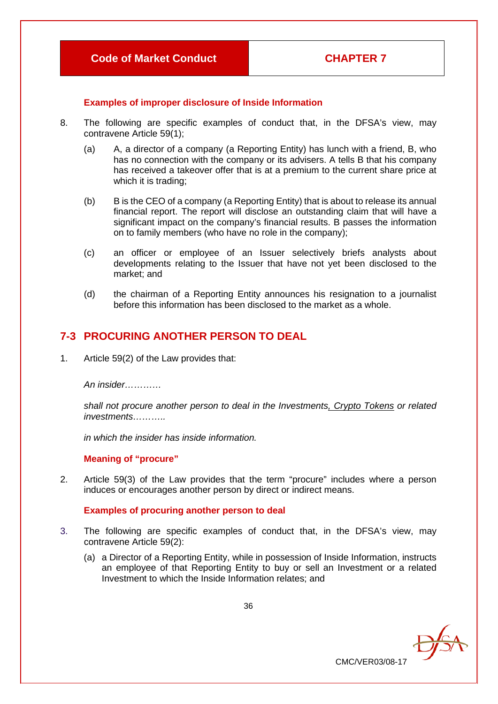# **Examples of improper disclosure of Inside Information**

- 8. The following are specific examples of conduct that, in the DFSA's view, may contravene Article 59(1);
	- (a) A, a director of a company (a Reporting Entity) has lunch with a friend, B, who has no connection with the company or its advisers. A tells B that his company has received a takeover offer that is at a premium to the current share price at which it is trading;
	- (b) B is the CEO of a company (a Reporting Entity) that is about to release its annual financial report. The report will disclose an outstanding claim that will have a significant impact on the company's financial results. B passes the information on to family members (who have no role in the company);
	- (c) an officer or employee of an Issuer selectively briefs analysts about developments relating to the Issuer that have not yet been disclosed to the market; and
	- (d) the chairman of a Reporting Entity announces his resignation to a journalist before this information has been disclosed to the market as a whole.

# **7-3 PROCURING ANOTHER PERSON TO DEAL**

1. Article 59(2) of the Law provides that:

*An insider…………* 

*shall not procure another person to deal in the Investments, Crypto Tokens or related investments………..* 

*in which the insider has inside information.*

# **Meaning of "procure"**

2. Article 59(3) of the Law provides that the term "procure" includes where a person induces or encourages another person by direct or indirect means.

# **Examples of procuring another person to deal**

- 3. The following are specific examples of conduct that, in the DFSA's view, may contravene Article 59(2):
	- (a) a Director of a Reporting Entity, while in possession of Inside Information, instructs an employee of that Reporting Entity to buy or sell an Investment or a related Investment to which the Inside Information relates; and

DfSA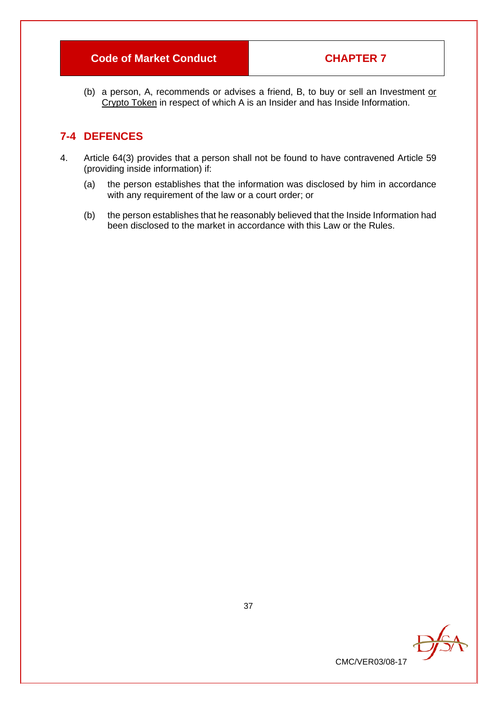# **Code of Market Conduct CONDUCTER 7**

(b) a person, A, recommends or advises a friend, B, to buy or sell an Investment or Crypto Token in respect of which A is an Insider and has Inside Information.

# **7-4 DEFENCES**

- 4. Article 64(3) provides that a person shall not be found to have contravened Article 59 (providing inside information) if:
	- (a) the person establishes that the information was disclosed by him in accordance with any requirement of the law or a court order; or
	- (b) the person establishes that he reasonably believed that the Inside Information had been disclosed to the market in accordance with this Law or the Rules.

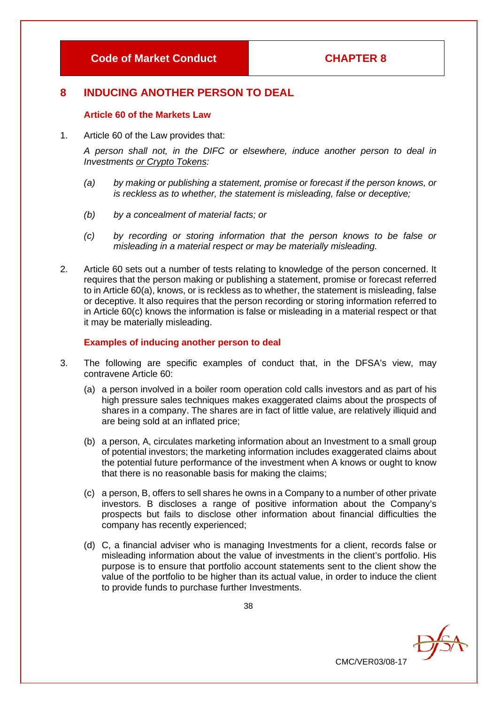# **8 INDUCING ANOTHER PERSON TO DEAL**

#### **Article 60 of the Markets Law**

1. Article 60 of the Law provides that:

*A person shall not, in the DIFC or elsewhere, induce another person to deal in Investments or Crypto Tokens:* 

- *(a) by making or publishing a statement, promise or forecast if the person knows, or is reckless as to whether, the statement is misleading, false or deceptive;*
- *(b) by a concealment of material facts; or*
- *(c) by recording or storing information that the person knows to be false or misleading in a material respect or may be materially misleading.*
- 2. Article 60 sets out a number of tests relating to knowledge of the person concerned. It requires that the person making or publishing a statement, promise or forecast referred to in Article 60(a), knows, or is reckless as to whether, the statement is misleading, false or deceptive. It also requires that the person recording or storing information referred to in Article 60(c) knows the information is false or misleading in a material respect or that it may be materially misleading.

#### **Examples of inducing another person to deal**

- 3. The following are specific examples of conduct that, in the DFSA's view, may contravene Article 60:
	- (a) a person involved in a boiler room operation cold calls investors and as part of his high pressure sales techniques makes exaggerated claims about the prospects of shares in a company. The shares are in fact of little value, are relatively illiquid and are being sold at an inflated price;
	- (b) a person, A, circulates marketing information about an Investment to a small group of potential investors; the marketing information includes exaggerated claims about the potential future performance of the investment when A knows or ought to know that there is no reasonable basis for making the claims;
	- (c) a person, B, offers to sell shares he owns in a Company to a number of other private investors. B discloses a range of positive information about the Company's prospects but fails to disclose other information about financial difficulties the company has recently experienced;
	- (d) C, a financial adviser who is managing Investments for a client, records false or misleading information about the value of investments in the client's portfolio. His purpose is to ensure that portfolio account statements sent to the client show the value of the portfolio to be higher than its actual value, in order to induce the client to provide funds to purchase further Investments.

CMC/VER03/08-17

 $\partial f$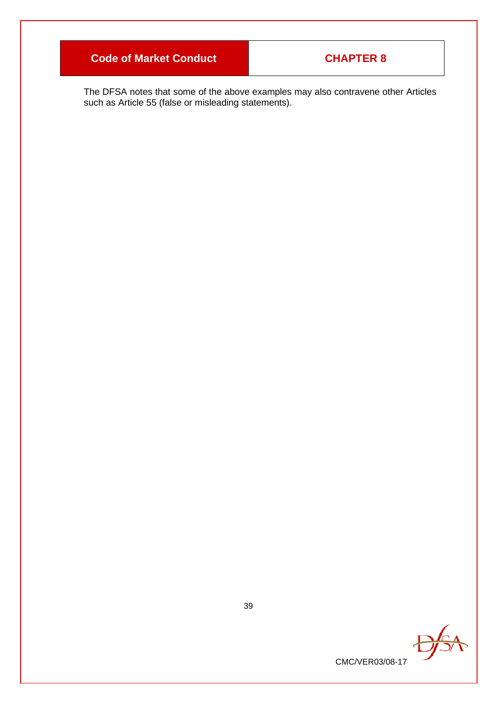The DFSA notes that some of the above examples may also contravene other Articles such as Article 55 (false or misleading statements).

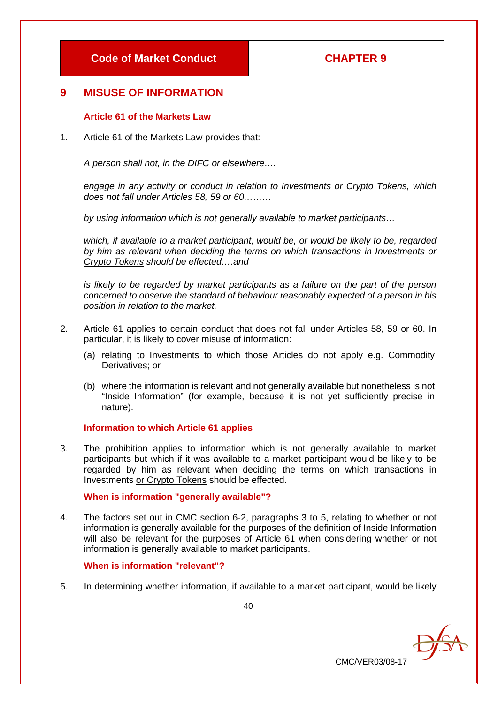# **9 MISUSE OF INFORMATION**

# **Article 61 of the Markets Law**

1. Article 61 of the Markets Law provides that:

*A person shall not, in the DIFC or elsewhere….*

*engage in any activity or conduct in relation to Investments or Crypto Tokens, which does not fall under Articles 58, 59 or 60………*

*by using information which is not generally available to market participants…*

*which, if available to a market participant, would be, or would be likely to be, regarded by him as relevant when deciding the terms on which transactions in Investments or Crypto Tokens should be effected….and*

*is likely to be regarded by market participants as a failure on the part of the person concerned to observe the standard of behaviour reasonably expected of a person in his position in relation to the market.*

- 2. Article 61 applies to certain conduct that does not fall under Articles 58, 59 or 60. In particular, it is likely to cover misuse of information:
	- (a) relating to Investments to which those Articles do not apply e.g. Commodity Derivatives; or
	- (b) where the information is relevant and not generally available but nonetheless is not "Inside Information" (for example, because it is not yet sufficiently precise in nature).

#### **Information to which Article 61 applies**

3. The prohibition applies to information which is not generally available to market participants but which if it was available to a market participant would be likely to be regarded by him as relevant when deciding the terms on which transactions in Investments or Crypto Tokens should be effected.

#### **When is information "generally available"?**

4. The factors set out in CMC section 6-2, paragraphs 3 to 5, relating to whether or not information is generally available for the purposes of the definition of Inside Information will also be relevant for the purposes of Article 61 when considering whether or not information is generally available to market participants.

# **When is information "relevant"?**

5. In determining whether information, if available to a market participant, would be likely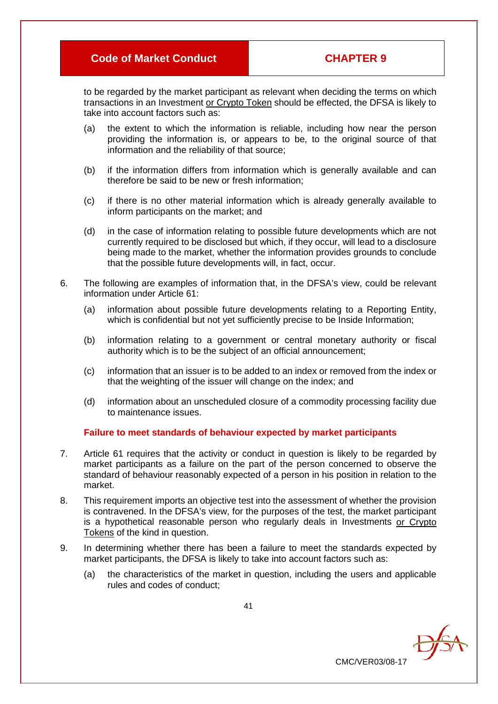to be regarded by the market participant as relevant when deciding the terms on which transactions in an Investment or Crypto Token should be effected, the DFSA is likely to take into account factors such as:

- (a) the extent to which the information is reliable, including how near the person providing the information is, or appears to be, to the original source of that information and the reliability of that source;
- (b) if the information differs from information which is generally available and can therefore be said to be new or fresh information;
- (c) if there is no other material information which is already generally available to inform participants on the market; and
- (d) in the case of information relating to possible future developments which are not currently required to be disclosed but which, if they occur, will lead to a disclosure being made to the market, whether the information provides grounds to conclude that the possible future developments will, in fact, occur.
- 6. The following are examples of information that, in the DFSA's view, could be relevant information under Article 61:
	- (a) information about possible future developments relating to a Reporting Entity, which is confidential but not yet sufficiently precise to be Inside Information;
	- (b) information relating to a government or central monetary authority or fiscal authority which is to be the subject of an official announcement;
	- (c) information that an issuer is to be added to an index or removed from the index or that the weighting of the issuer will change on the index; and
	- (d) information about an unscheduled closure of a commodity processing facility due to maintenance issues.

#### **Failure to meet standards of behaviour expected by market participants**

- 7. Article 61 requires that the activity or conduct in question is likely to be regarded by market participants as a failure on the part of the person concerned to observe the standard of behaviour reasonably expected of a person in his position in relation to the market.
- 8. This requirement imports an objective test into the assessment of whether the provision is contravened. In the DFSA's view, for the purposes of the test, the market participant is a hypothetical reasonable person who regularly deals in Investments or Crypto Tokens of the kind in question.
- 9. In determining whether there has been a failure to meet the standards expected by market participants, the DFSA is likely to take into account factors such as:
	- (a) the characteristics of the market in question, including the users and applicable rules and codes of conduct;

DEA CMC/VER03/08-17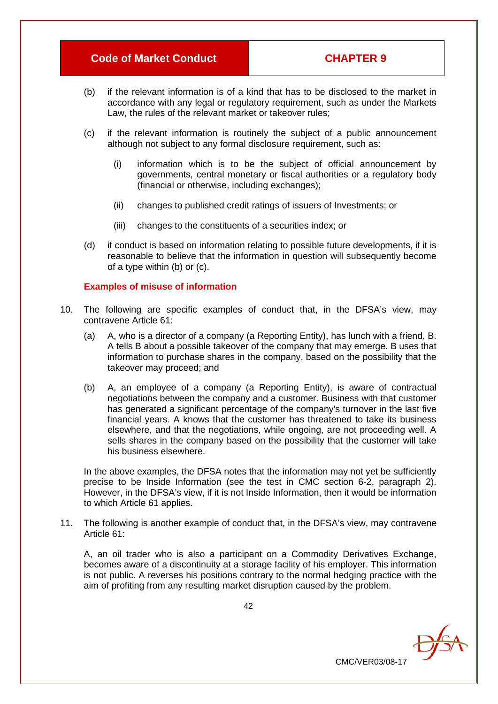- (b) if the relevant information is of a kind that has to be disclosed to the market in accordance with any legal or regulatory requirement, such as under the Markets Law, the rules of the relevant market or takeover rules;
- (c) if the relevant information is routinely the subject of a public announcement although not subject to any formal disclosure requirement, such as:
	- (i) information which is to be the subject of official announcement by governments, central monetary or fiscal authorities or a regulatory body (financial or otherwise, including exchanges);
	- (ii) changes to published credit ratings of issuers of Investments; or
	- (iii) changes to the constituents of a securities index; or
- (d) if conduct is based on information relating to possible future developments, if it is reasonable to believe that the information in question will subsequently become of a type within (b) or (c).

#### **Examples of misuse of information**

- 10. The following are specific examples of conduct that, in the DFSA's view, may contravene Article 61:
	- (a) A, who is a director of a company (a Reporting Entity), has lunch with a friend, B. A tells B about a possible takeover of the company that may emerge. B uses that information to purchase shares in the company, based on the possibility that the takeover may proceed; and
	- (b) A, an employee of a company (a Reporting Entity), is aware of contractual negotiations between the company and a customer. Business with that customer has generated a significant percentage of the company's turnover in the last five financial years. A knows that the customer has threatened to take its business elsewhere, and that the negotiations, while ongoing, are not proceeding well. A sells shares in the company based on the possibility that the customer will take his business elsewhere.

In the above examples, the DFSA notes that the information may not yet be sufficiently precise to be Inside Information (see the test in CMC section 6-2, paragraph 2). However, in the DFSA's view, if it is not Inside Information, then it would be information to which Article 61 applies.

11. The following is another example of conduct that, in the DFSA's view, may contravene Article 61:

A, an oil trader who is also a participant on a Commodity Derivatives Exchange, becomes aware of a discontinuity at a storage facility of his employer. This information is not public. A reverses his positions contrary to the normal hedging practice with the aim of profiting from any resulting market disruption caused by the problem.

CMC/VER03/08-17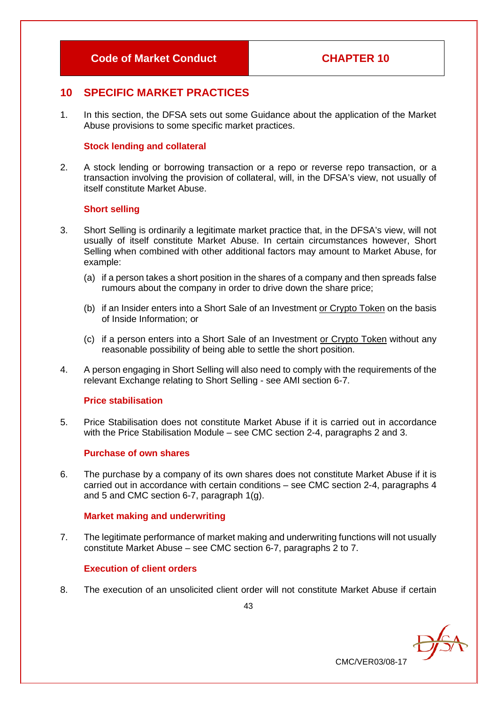# **10 SPECIFIC MARKET PRACTICES**

1. In this section, the DFSA sets out some Guidance about the application of the Market Abuse provisions to some specific market practices.

#### **Stock lending and collateral**

2. A stock lending or borrowing transaction or a repo or reverse repo transaction, or a transaction involving the provision of collateral, will, in the DFSA's view, not usually of itself constitute Market Abuse.

#### **Short selling**

- 3. Short Selling is ordinarily a legitimate market practice that, in the DFSA's view, will not usually of itself constitute Market Abuse. In certain circumstances however, Short Selling when combined with other additional factors may amount to Market Abuse, for example:
	- (a) if a person takes a short position in the shares of a company and then spreads false rumours about the company in order to drive down the share price;
	- (b) if an Insider enters into a Short Sale of an Investment or Crypto Token on the basis of Inside Information; or
	- (c) if a person enters into a Short Sale of an Investment or Crypto Token without any reasonable possibility of being able to settle the short position.
- 4. A person engaging in Short Selling will also need to comply with the requirements of the relevant Exchange relating to Short Selling - see AMI section 6-7.

#### **Price stabilisation**

5. Price Stabilisation does not constitute Market Abuse if it is carried out in accordance with the Price Stabilisation Module – see CMC section 2-4, paragraphs 2 and 3.

#### **Purchase of own shares**

6. The purchase by a company of its own shares does not constitute Market Abuse if it is carried out in accordance with certain conditions – see CMC section 2-4, paragraphs 4 and 5 and CMC section 6-7, paragraph 1(g).

#### **Market making and underwriting**

7. The legitimate performance of market making and underwriting functions will not usually constitute Market Abuse – see CMC section 6-7, paragraphs 2 to 7.

#### **Execution of client orders**

8. The execution of an unsolicited client order will not constitute Market Abuse if certain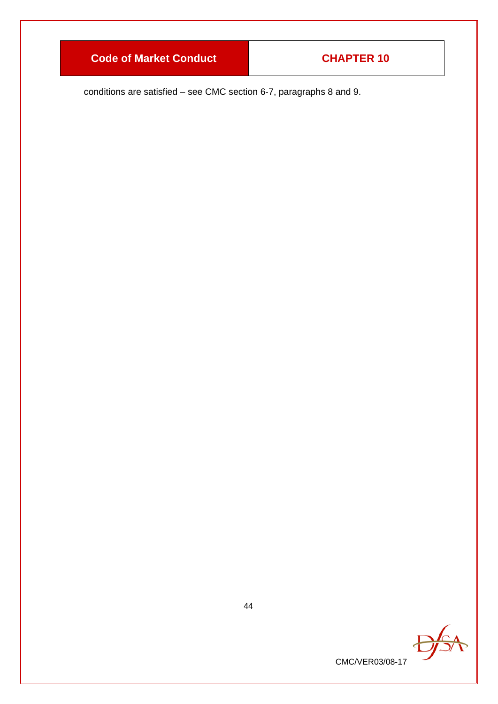conditions are satisfied – see CMC section 6-7, paragraphs 8 and 9.